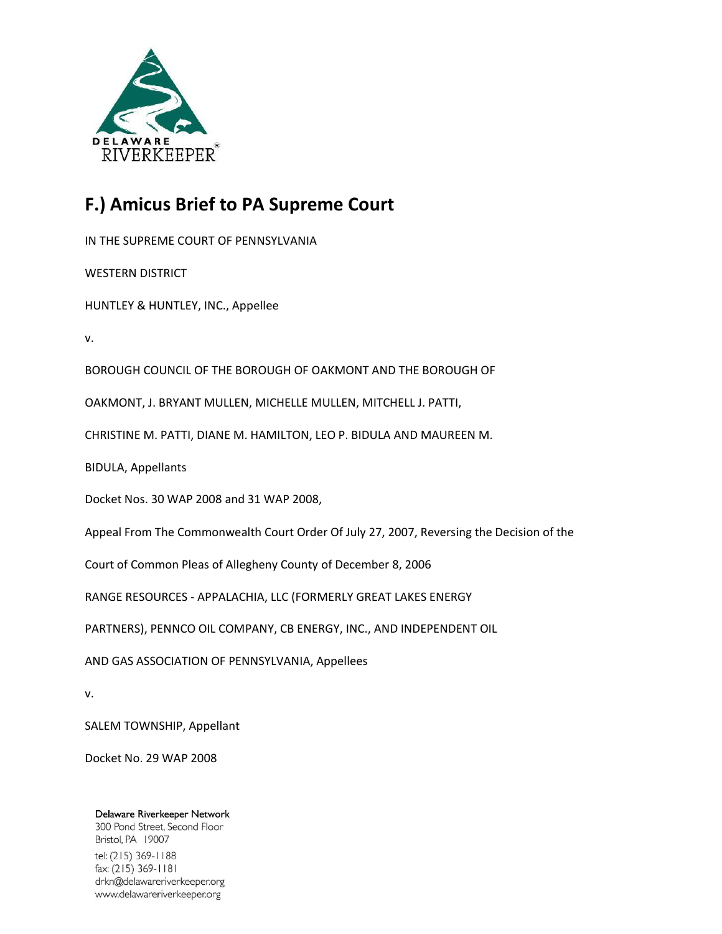

# **F.) Amicus Brief to PA Supreme Court**

IN THE SUPREME COURT OF PENNSYLVANIA

WESTERN DISTRICT

HUNTLEY & HUNTLEY, INC., Appellee

v.

BOROUGH COUNCIL OF THE BOROUGH OF OAKMONT AND THE BOROUGH OF

OAKMONT, J. BRYANT MULLEN, MICHELLE MULLEN, MITCHELL J. PATTI,

CHRISTINE M. PATTI, DIANE M. HAMILTON, LEO P. BIDULA AND MAUREEN M.

BIDULA, Appellants

Docket Nos. 30 WAP 2008 and 31 WAP 2008,

Appeal From The Commonwealth Court Order Of July 27, 2007, Reversing the Decision of the

Court of Common Pleas of Allegheny County of December 8, 2006

RANGE RESOURCES - APPALACHIA, LLC (FORMERLY GREAT LAKES ENERGY

PARTNERS), PENNCO OIL COMPANY, CB ENERGY, INC., AND INDEPENDENT OIL

AND GAS ASSOCIATION OF PENNSYLVANIA, Appellees

v.

SALEM TOWNSHIP, Appellant

Docket No. 29 WAP 2008

Delaware Riverkeeper Network 300 Pond Street, Second Floor Bristol, PA 19007 tel: (215) 369-1188 fax: (215) 369-1181 drkn@delawareriverkeeper.org www.delawareriverkeeper.org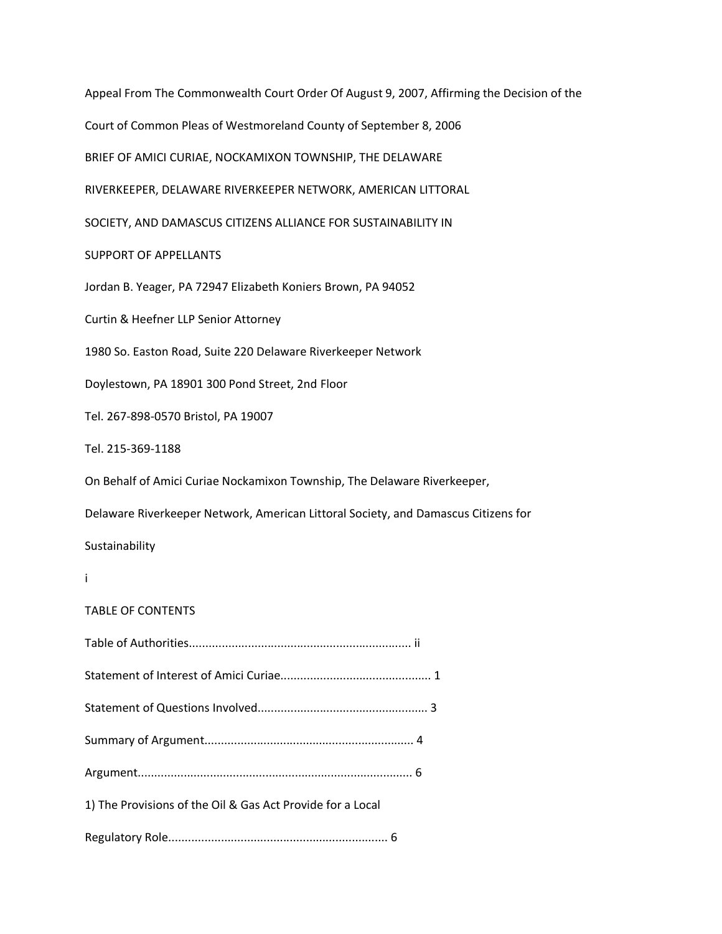Appeal From The Commonwealth Court Order Of August 9, 2007, Affirming the Decision of the Court of Common Pleas of Westmoreland County of September 8, 2006 BRIEF OF AMICI CURIAE, NOCKAMIXON TOWNSHIP, THE DELAWARE RIVERKEEPER, DELAWARE RIVERKEEPER NETWORK, AMERICAN LITTORAL SOCIETY, AND DAMASCUS CITIZENS ALLIANCE FOR SUSTAINABILITY IN SUPPORT OF APPELLANTS Jordan B. Yeager, PA 72947 Elizabeth Koniers Brown, PA 94052 Curtin & Heefner LLP Senior Attorney 1980 So. Easton Road, Suite 220 Delaware Riverkeeper Network Doylestown, PA 18901 300 Pond Street, 2nd Floor Tel. 267-898-0570 Bristol, PA 19007 Tel. 215-369-1188 On Behalf of Amici Curiae Nockamixon Township, The Delaware Riverkeeper, Delaware Riverkeeper Network, American Littoral Society, and Damascus Citizens for Sustainability i

## TABLE OF CONTENTS

| 1) The Provisions of the Oil & Gas Act Provide for a Local |  |
|------------------------------------------------------------|--|
|                                                            |  |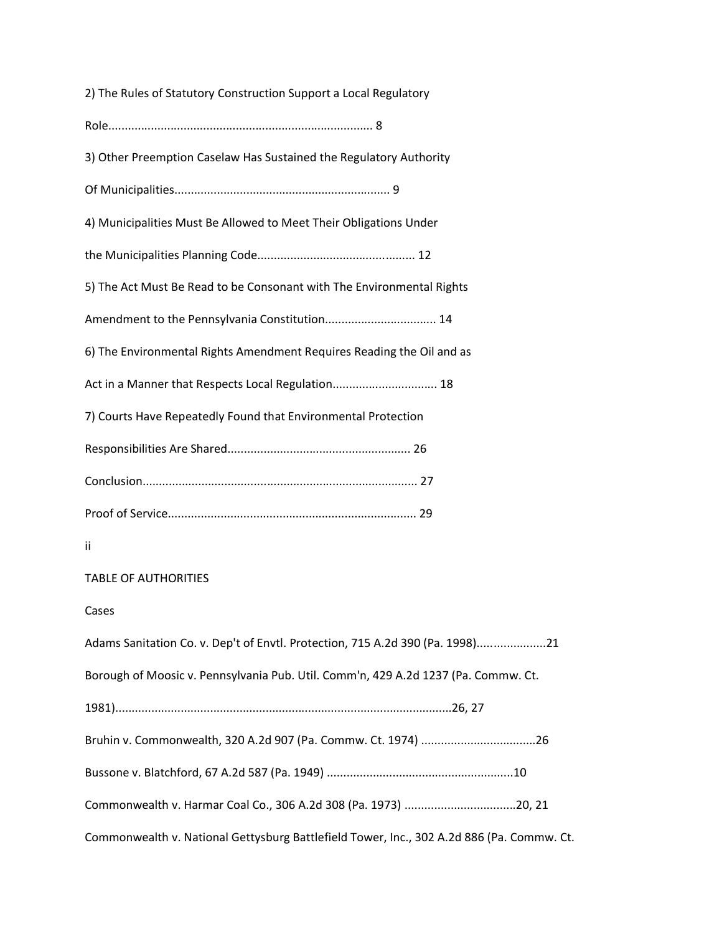2) The Rules of Statutory Construction Support a Local Regulatory Role................................................................................. 8 3) Other Preemption Caselaw Has Sustained the Regulatory Authority Of Municipalities.................................................................. 9 4) Municipalities Must Be Allowed to Meet Their Obligations Under the Municipalities Planning Code................................................ 12 5) The Act Must Be Read to be Consonant with The Environmental Rights Amendment to the Pennsylvania Constitution.................................. 14 6) The Environmental Rights Amendment Requires Reading the Oil and as Act in a Manner that Respects Local Regulation................................... 18 7) Courts Have Repeatedly Found that Environmental Protection Responsibilities Are Shared........................................................ 26 Conclusion.................................................................................... 27 Proof of Service............................................................................ 29 ii TABLE OF AUTHORITIES Cases Adams Sanitation Co. v. Dep't of Envtl. Protection, 715 A.2d 390 (Pa. 1998).....................21 Borough of Moosic v. Pennsylvania Pub. Util. Comm'n, 429 A.2d 1237 (Pa. Commw. Ct. 1981).......................................................................................................26, 27 Bruhin v. Commonwealth, 320 A.2d 907 (Pa. Commw. Ct. 1974) ...................................26 Bussone v. Blatchford, 67 A.2d 587 (Pa. 1949) .........................................................10 Commonwealth v. Harmar Coal Co., 306 A.2d 308 (Pa. 1973) ..................................20, 21 Commonwealth v. National Gettysburg Battlefield Tower, Inc., 302 A.2d 886 (Pa. Commw. Ct.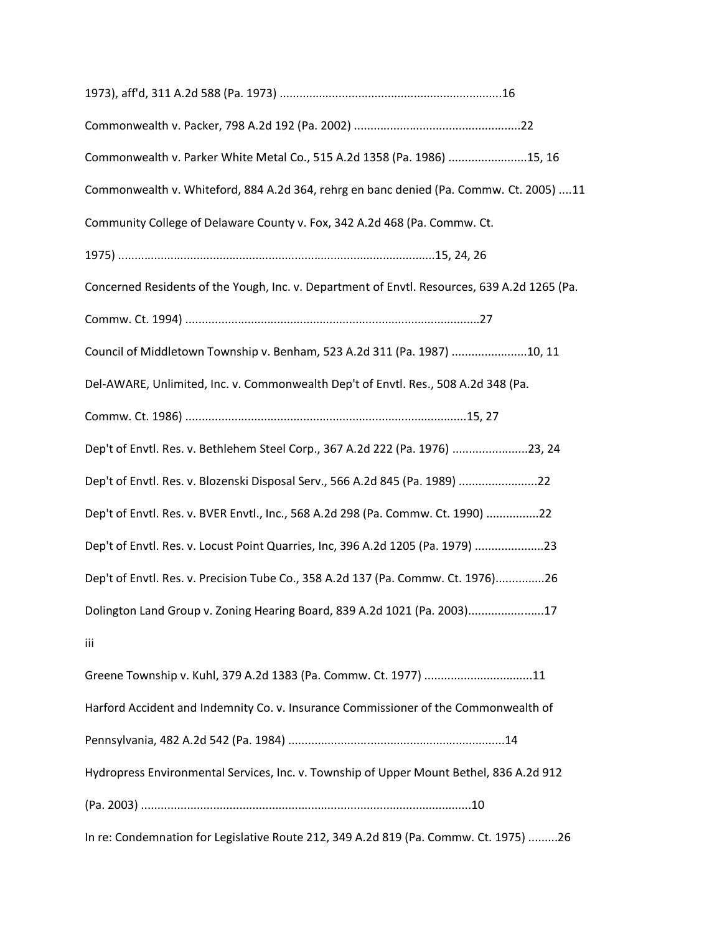| Commonwealth v. Parker White Metal Co., 515 A.2d 1358 (Pa. 1986) 15, 16                      |  |
|----------------------------------------------------------------------------------------------|--|
| Commonwealth v. Whiteford, 884 A.2d 364, rehrg en banc denied (Pa. Commw. Ct. 2005) 11       |  |
| Community College of Delaware County v. Fox, 342 A.2d 468 (Pa. Commw. Ct.                    |  |
|                                                                                              |  |
| Concerned Residents of the Yough, Inc. v. Department of Envtl. Resources, 639 A.2d 1265 (Pa. |  |
|                                                                                              |  |
| Council of Middletown Township v. Benham, 523 A.2d 311 (Pa. 1987) 10, 11                     |  |
| Del-AWARE, Unlimited, Inc. v. Commonwealth Dep't of Envtl. Res., 508 A.2d 348 (Pa.           |  |
|                                                                                              |  |
| Dep't of Envtl. Res. v. Bethlehem Steel Corp., 367 A.2d 222 (Pa. 1976) 23, 24                |  |
| Dep't of Envtl. Res. v. Blozenski Disposal Serv., 566 A.2d 845 (Pa. 1989) 22                 |  |
| Dep't of Envtl. Res. v. BVER Envtl., Inc., 568 A.2d 298 (Pa. Commw. Ct. 1990) 22             |  |
| Dep't of Envtl. Res. v. Locust Point Quarries, Inc, 396 A.2d 1205 (Pa. 1979) 23              |  |
| Dep't of Envtl. Res. v. Precision Tube Co., 358 A.2d 137 (Pa. Commw. Ct. 1976)26             |  |
| Dolington Land Group v. Zoning Hearing Board, 839 A.2d 1021 (Pa. 2003)17                     |  |
| iii                                                                                          |  |
| Greene Township v. Kuhl, 379 A.2d 1383 (Pa. Commw. Ct. 1977) 11                              |  |
| Harford Accident and Indemnity Co. v. Insurance Commissioner of the Commonwealth of          |  |
|                                                                                              |  |
| Hydropress Environmental Services, Inc. v. Township of Upper Mount Bethel, 836 A.2d 912      |  |
|                                                                                              |  |
| In re: Condemnation for Legislative Route 212, 349 A.2d 819 (Pa. Commw. Ct. 1975) 26         |  |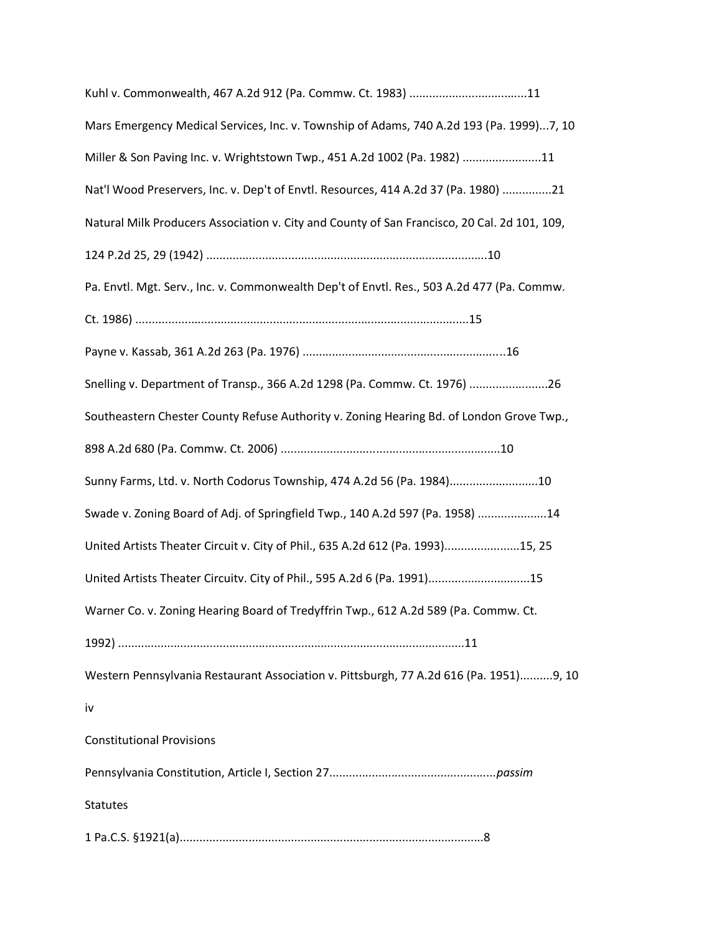| Kuhl v. Commonwealth, 467 A.2d 912 (Pa. Commw. Ct. 1983) 11                                  |
|----------------------------------------------------------------------------------------------|
| Mars Emergency Medical Services, Inc. v. Township of Adams, 740 A.2d 193 (Pa. 1999)7, 10     |
| Miller & Son Paving Inc. v. Wrightstown Twp., 451 A.2d 1002 (Pa. 1982) 11                    |
| Nat'l Wood Preservers, Inc. v. Dep't of Envtl. Resources, 414 A.2d 37 (Pa. 1980) 21          |
| Natural Milk Producers Association v. City and County of San Francisco, 20 Cal. 2d 101, 109, |
|                                                                                              |
| Pa. Envtl. Mgt. Serv., Inc. v. Commonwealth Dep't of Envtl. Res., 503 A.2d 477 (Pa. Commw.   |
|                                                                                              |
|                                                                                              |
| Snelling v. Department of Transp., 366 A.2d 1298 (Pa. Commw. Ct. 1976) 26                    |
| Southeastern Chester County Refuse Authority v. Zoning Hearing Bd. of London Grove Twp.,     |
|                                                                                              |
| Sunny Farms, Ltd. v. North Codorus Township, 474 A.2d 56 (Pa. 1984)10                        |
| Swade v. Zoning Board of Adj. of Springfield Twp., 140 A.2d 597 (Pa. 1958) 14                |
| United Artists Theater Circuit v. City of Phil., 635 A.2d 612 (Pa. 1993)15, 25               |
| United Artists Theater Circuity. City of Phil., 595 A.2d 6 (Pa. 1991)15                      |
| Warner Co. v. Zoning Hearing Board of Tredyffrin Twp., 612 A.2d 589 (Pa. Commw. Ct.          |
|                                                                                              |
| Western Pennsylvania Restaurant Association v. Pittsburgh, 77 A.2d 616 (Pa. 1951)9, 10       |
| iv                                                                                           |
| <b>Constitutional Provisions</b>                                                             |
|                                                                                              |
| <b>Statutes</b>                                                                              |
|                                                                                              |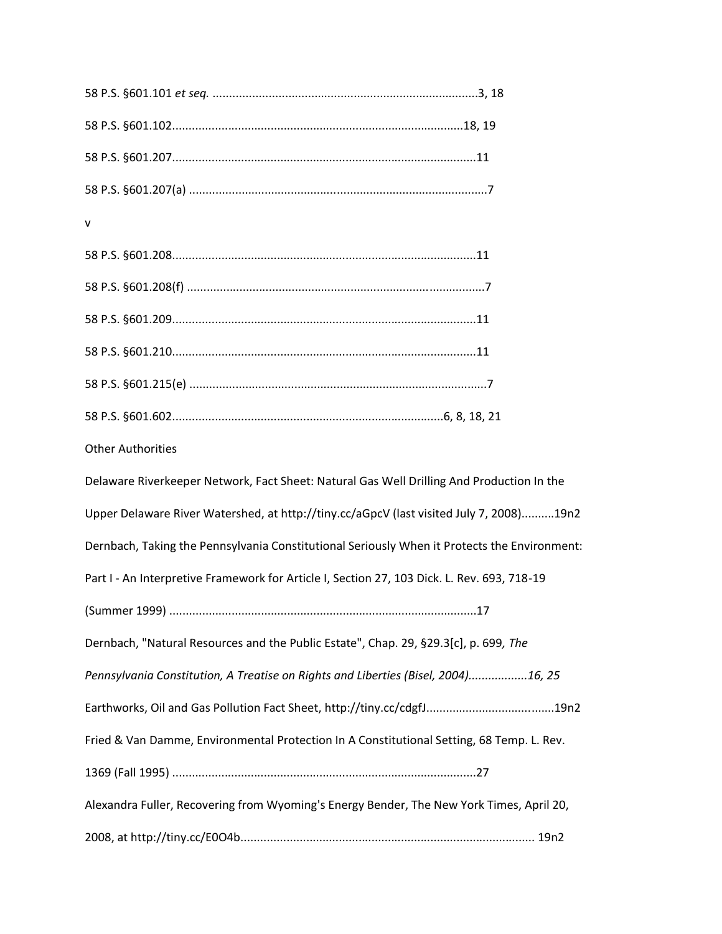| v                                                                                            |
|----------------------------------------------------------------------------------------------|
|                                                                                              |
|                                                                                              |
|                                                                                              |
|                                                                                              |
|                                                                                              |
|                                                                                              |
| <b>Other Authorities</b>                                                                     |
| Delaware Riverkeeper Network, Fact Sheet: Natural Gas Well Drilling And Production In the    |
| Upper Delaware River Watershed, at http://tiny.cc/aGpcV (last visited July 7, 2008)19n2      |
| Dernbach, Taking the Pennsylvania Constitutional Seriously When it Protects the Environment: |
| Part I - An Interpretive Framework for Article I, Section 27, 103 Dick. L. Rev. 693, 718-19  |
|                                                                                              |
| Dernbach, "Natural Resources and the Public Estate", Chap. 29, §29.3[c], p. 699, The         |
| Pennsylvania Constitution, A Treatise on Rights and Liberties (Bisel, 2004)16, 25            |
| Earthworks, Oil and Gas Pollution Fact Sheet, http://tiny.cc/cdgfJ19n2                       |
| Fried & Van Damme, Environmental Protection In A Constitutional Setting, 68 Temp. L. Rev.    |
|                                                                                              |
| Alexandra Fuller, Recovering from Wyoming's Energy Bender, The New York Times, April 20,     |
|                                                                                              |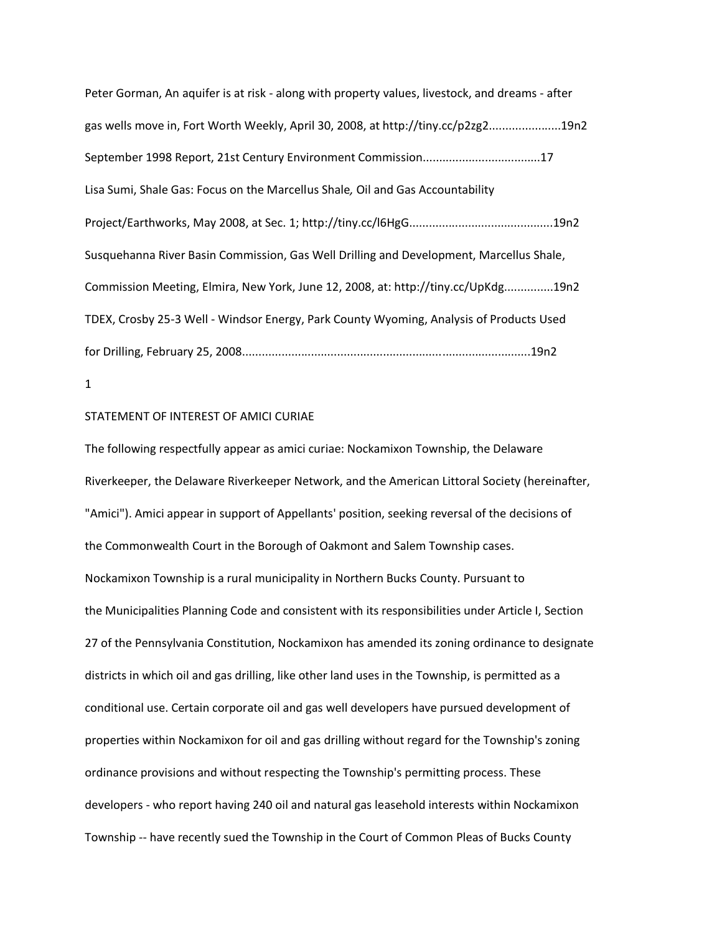Peter Gorman, An aquifer is at risk - along with property values, livestock, and dreams - after gas wells move in, Fort Worth Weekly, April 30, 2008, at http://tiny.cc/p2zg2......................19n2 September 1998 Report, 21st Century Environment Commission....................................17 Lisa Sumi, Shale Gas: Focus on the Marcellus Shale*,* Oil and Gas Accountability Project/Earthworks, May 2008, at Sec. 1; http://tiny.cc/l6HgG............................................19n2 Susquehanna River Basin Commission, Gas Well Drilling and Development, Marcellus Shale, Commission Meeting, Elmira, New York, June 12, 2008, at: http://tiny.cc/UpKdg...............19n2 TDEX, Crosby 25-3 Well - Windsor Energy, Park County Wyoming, Analysis of Products Used for Drilling, February 25, 2008........................................................................................19n2

## 1

### STATEMENT OF INTEREST OF AMICI CURIAE

The following respectfully appear as amici curiae: Nockamixon Township, the Delaware Riverkeeper, the Delaware Riverkeeper Network, and the American Littoral Society (hereinafter, "Amici"). Amici appear in support of Appellants' position, seeking reversal of the decisions of the Commonwealth Court in the Borough of Oakmont and Salem Township cases. Nockamixon Township is a rural municipality in Northern Bucks County. Pursuant to the Municipalities Planning Code and consistent with its responsibilities under Article I, Section 27 of the Pennsylvania Constitution, Nockamixon has amended its zoning ordinance to designate districts in which oil and gas drilling, like other land uses in the Township, is permitted as a conditional use. Certain corporate oil and gas well developers have pursued development of properties within Nockamixon for oil and gas drilling without regard for the Township's zoning ordinance provisions and without respecting the Township's permitting process. These developers - who report having 240 oil and natural gas leasehold interests within Nockamixon Township -- have recently sued the Township in the Court of Common Pleas of Bucks County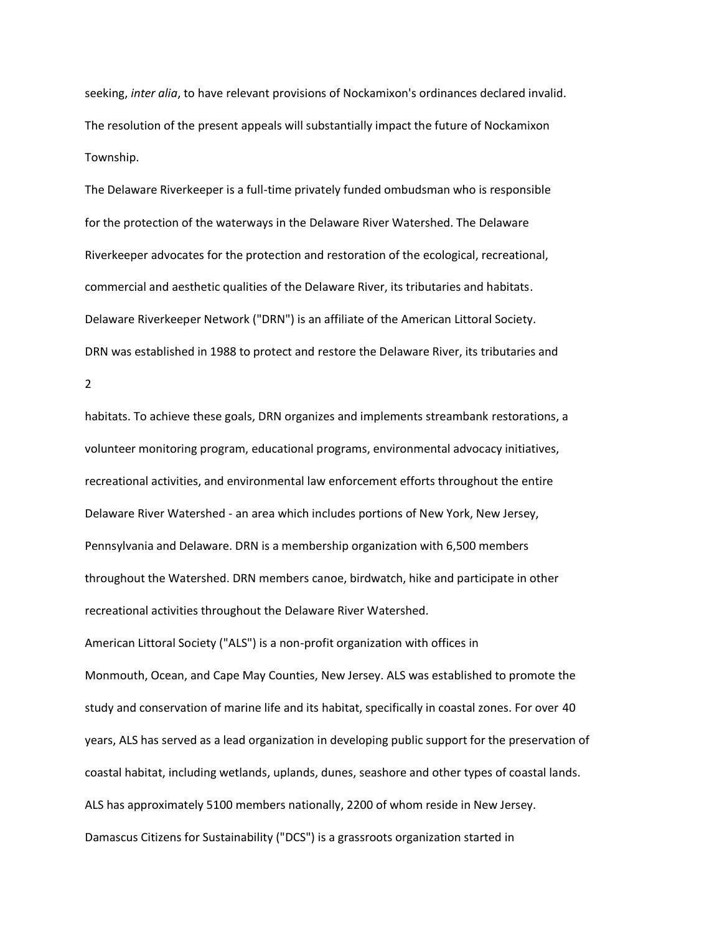seeking, *inter alia*, to have relevant provisions of Nockamixon's ordinances declared invalid. The resolution of the present appeals will substantially impact the future of Nockamixon Township.

The Delaware Riverkeeper is a full-time privately funded ombudsman who is responsible for the protection of the waterways in the Delaware River Watershed. The Delaware Riverkeeper advocates for the protection and restoration of the ecological, recreational, commercial and aesthetic qualities of the Delaware River, its tributaries and habitats. Delaware Riverkeeper Network ("DRN") is an affiliate of the American Littoral Society. DRN was established in 1988 to protect and restore the Delaware River, its tributaries and

2

habitats. To achieve these goals, DRN organizes and implements streambank restorations, a volunteer monitoring program, educational programs, environmental advocacy initiatives, recreational activities, and environmental law enforcement efforts throughout the entire Delaware River Watershed - an area which includes portions of New York, New Jersey, Pennsylvania and Delaware. DRN is a membership organization with 6,500 members throughout the Watershed. DRN members canoe, birdwatch, hike and participate in other recreational activities throughout the Delaware River Watershed. American Littoral Society ("ALS") is a non-profit organization with offices in Monmouth, Ocean, and Cape May Counties, New Jersey. ALS was established to promote the study and conservation of marine life and its habitat, specifically in coastal zones. For over 40 years, ALS has served as a lead organization in developing public support for the preservation of coastal habitat, including wetlands, uplands, dunes, seashore and other types of coastal lands. ALS has approximately 5100 members nationally, 2200 of whom reside in New Jersey. Damascus Citizens for Sustainability ("DCS") is a grassroots organization started in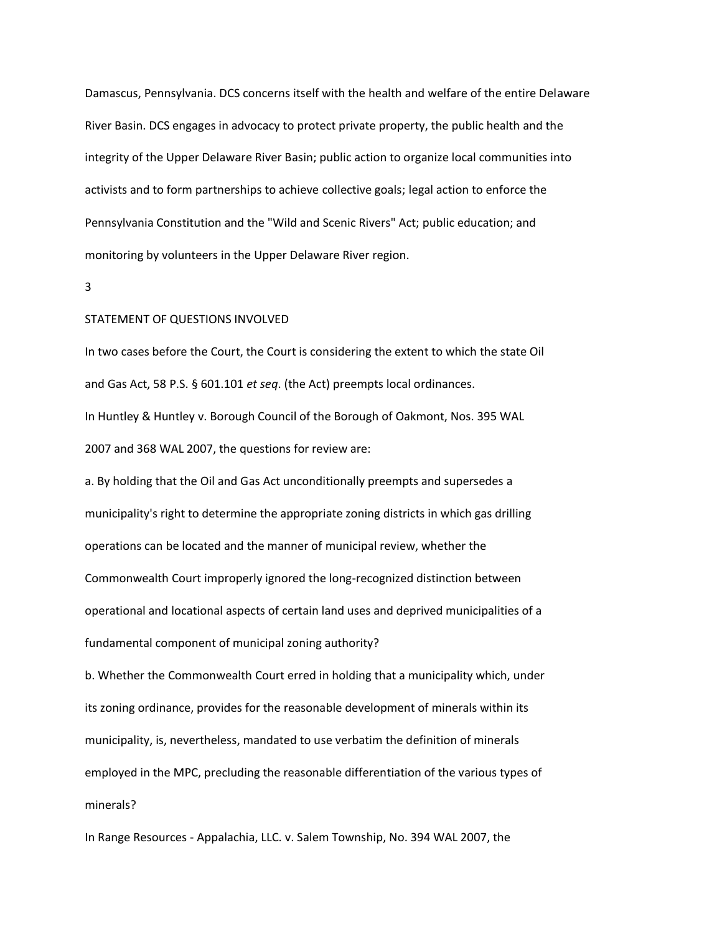Damascus, Pennsylvania. DCS concerns itself with the health and welfare of the entire Delaware River Basin. DCS engages in advocacy to protect private property, the public health and the integrity of the Upper Delaware River Basin; public action to organize local communities into activists and to form partnerships to achieve collective goals; legal action to enforce the Pennsylvania Constitution and the "Wild and Scenic Rivers" Act; public education; and monitoring by volunteers in the Upper Delaware River region.

3

### STATEMENT OF QUESTIONS INVOLVED

In two cases before the Court, the Court is considering the extent to which the state Oil and Gas Act, 58 P.S. § 601.101 *et seq*. (the Act) preempts local ordinances. In Huntley & Huntley v. Borough Council of the Borough of Oakmont, Nos. 395 WAL 2007 and 368 WAL 2007, the questions for review are:

a. By holding that the Oil and Gas Act unconditionally preempts and supersedes a municipality's right to determine the appropriate zoning districts in which gas drilling operations can be located and the manner of municipal review, whether the Commonwealth Court improperly ignored the long-recognized distinction between operational and locational aspects of certain land uses and deprived municipalities of a fundamental component of municipal zoning authority?

b. Whether the Commonwealth Court erred in holding that a municipality which, under its zoning ordinance, provides for the reasonable development of minerals within its municipality, is, nevertheless, mandated to use verbatim the definition of minerals employed in the MPC, precluding the reasonable differentiation of the various types of minerals?

In Range Resources - Appalachia, LLC. v. Salem Township, No. 394 WAL 2007, the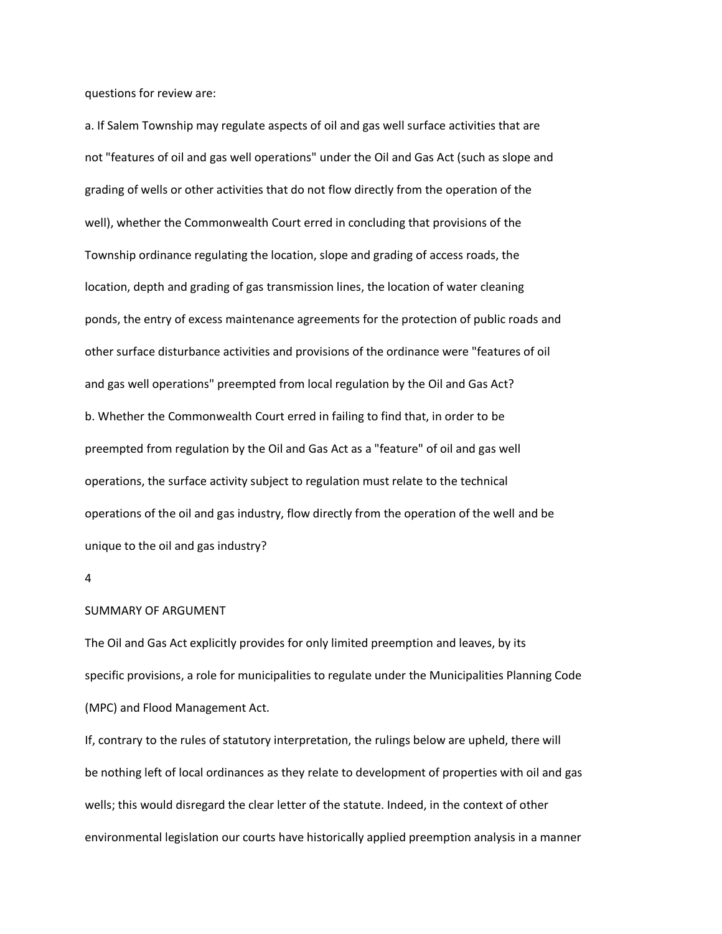questions for review are:

a. If Salem Township may regulate aspects of oil and gas well surface activities that are not "features of oil and gas well operations" under the Oil and Gas Act (such as slope and grading of wells or other activities that do not flow directly from the operation of the well), whether the Commonwealth Court erred in concluding that provisions of the Township ordinance regulating the location, slope and grading of access roads, the location, depth and grading of gas transmission lines, the location of water cleaning ponds, the entry of excess maintenance agreements for the protection of public roads and other surface disturbance activities and provisions of the ordinance were "features of oil and gas well operations" preempted from local regulation by the Oil and Gas Act? b. Whether the Commonwealth Court erred in failing to find that, in order to be preempted from regulation by the Oil and Gas Act as a "feature" of oil and gas well operations, the surface activity subject to regulation must relate to the technical operations of the oil and gas industry, flow directly from the operation of the well and be unique to the oil and gas industry?

#### 4

## SUMMARY OF ARGUMENT

The Oil and Gas Act explicitly provides for only limited preemption and leaves, by its specific provisions, a role for municipalities to regulate under the Municipalities Planning Code (MPC) and Flood Management Act.

If, contrary to the rules of statutory interpretation, the rulings below are upheld, there will be nothing left of local ordinances as they relate to development of properties with oil and gas wells; this would disregard the clear letter of the statute. Indeed, in the context of other environmental legislation our courts have historically applied preemption analysis in a manner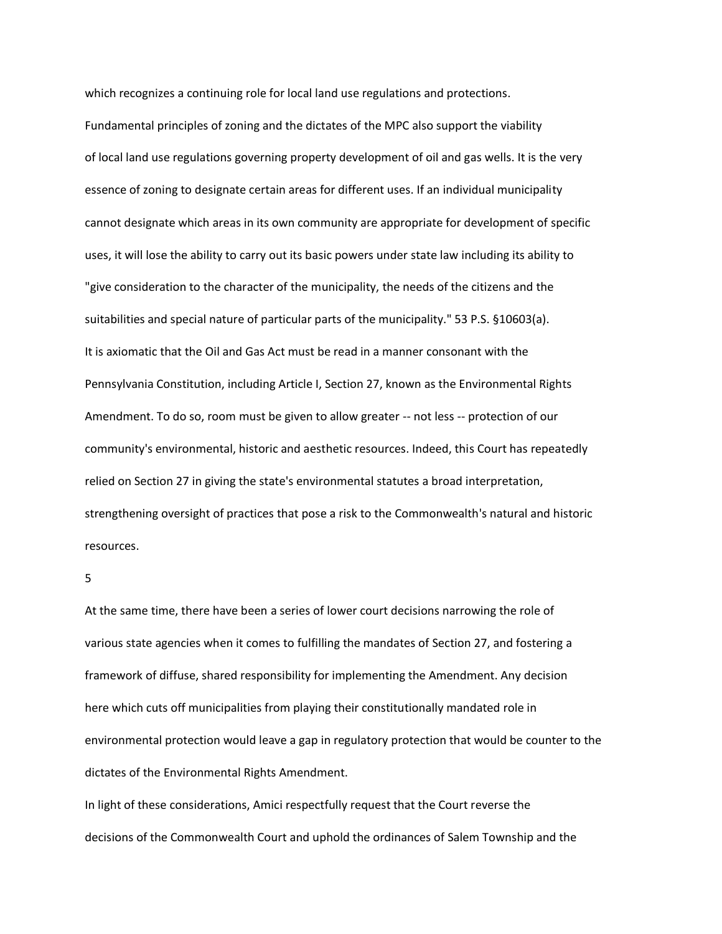which recognizes a continuing role for local land use regulations and protections. Fundamental principles of zoning and the dictates of the MPC also support the viability of local land use regulations governing property development of oil and gas wells. It is the very essence of zoning to designate certain areas for different uses. If an individual municipality cannot designate which areas in its own community are appropriate for development of specific uses, it will lose the ability to carry out its basic powers under state law including its ability to "give consideration to the character of the municipality, the needs of the citizens and the suitabilities and special nature of particular parts of the municipality." 53 P.S. §10603(a). It is axiomatic that the Oil and Gas Act must be read in a manner consonant with the Pennsylvania Constitution, including Article I, Section 27, known as the Environmental Rights Amendment. To do so, room must be given to allow greater -- not less -- protection of our community's environmental, historic and aesthetic resources. Indeed, this Court has repeatedly relied on Section 27 in giving the state's environmental statutes a broad interpretation, strengthening oversight of practices that pose a risk to the Commonwealth's natural and historic resources.

## 5

At the same time, there have been a series of lower court decisions narrowing the role of various state agencies when it comes to fulfilling the mandates of Section 27, and fostering a framework of diffuse, shared responsibility for implementing the Amendment. Any decision here which cuts off municipalities from playing their constitutionally mandated role in environmental protection would leave a gap in regulatory protection that would be counter to the dictates of the Environmental Rights Amendment.

In light of these considerations, Amici respectfully request that the Court reverse the decisions of the Commonwealth Court and uphold the ordinances of Salem Township and the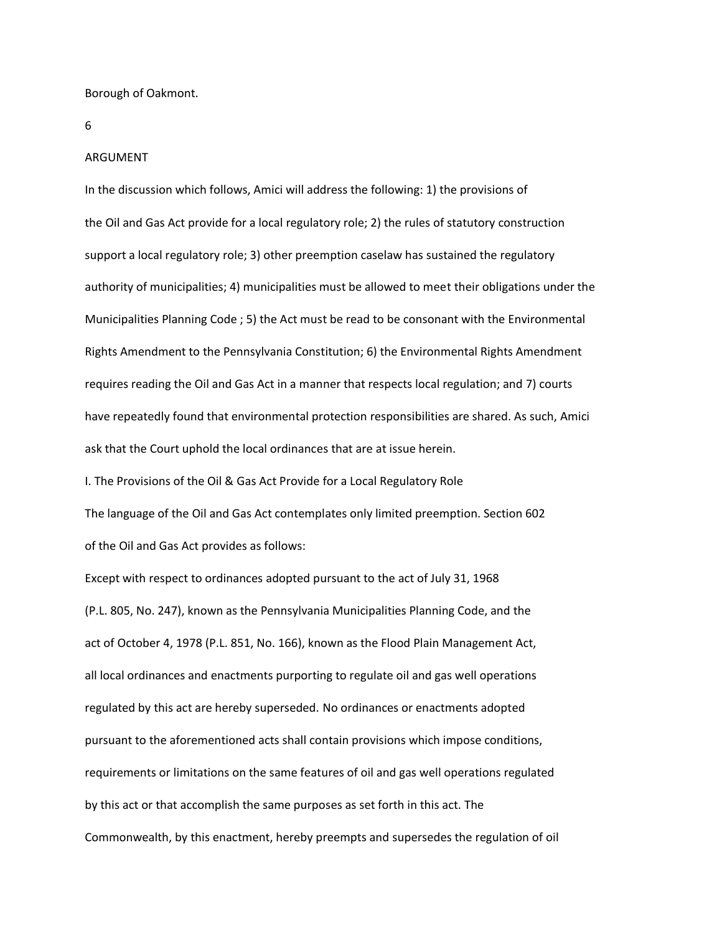Borough of Oakmont.

6

#### ARGUMENT

In the discussion which follows, Amici will address the following: 1) the provisions of the Oil and Gas Act provide for a local regulatory role; 2) the rules of statutory construction support a local regulatory role; 3) other preemption caselaw has sustained the regulatory authority of municipalities; 4) municipalities must be allowed to meet their obligations under the Municipalities Planning Code ; 5) the Act must be read to be consonant with the Environmental Rights Amendment to the Pennsylvania Constitution; 6) the Environmental Rights Amendment requires reading the Oil and Gas Act in a manner that respects local regulation; and 7) courts have repeatedly found that environmental protection responsibilities are shared. As such, Amici ask that the Court uphold the local ordinances that are at issue herein.

I. The Provisions of the Oil & Gas Act Provide for a Local Regulatory Role The language of the Oil and Gas Act contemplates only limited preemption. Section 602 of the Oil and Gas Act provides as follows:

Except with respect to ordinances adopted pursuant to the act of July 31, 1968 (P.L. 805, No. 247), known as the Pennsylvania Municipalities Planning Code, and the act of October 4, 1978 (P.L. 851, No. 166), known as the Flood Plain Management Act, all local ordinances and enactments purporting to regulate oil and gas well operations regulated by this act are hereby superseded. No ordinances or enactments adopted pursuant to the aforementioned acts shall contain provisions which impose conditions, requirements or limitations on the same features of oil and gas well operations regulated by this act or that accomplish the same purposes as set forth in this act. The Commonwealth, by this enactment, hereby preempts and supersedes the regulation of oil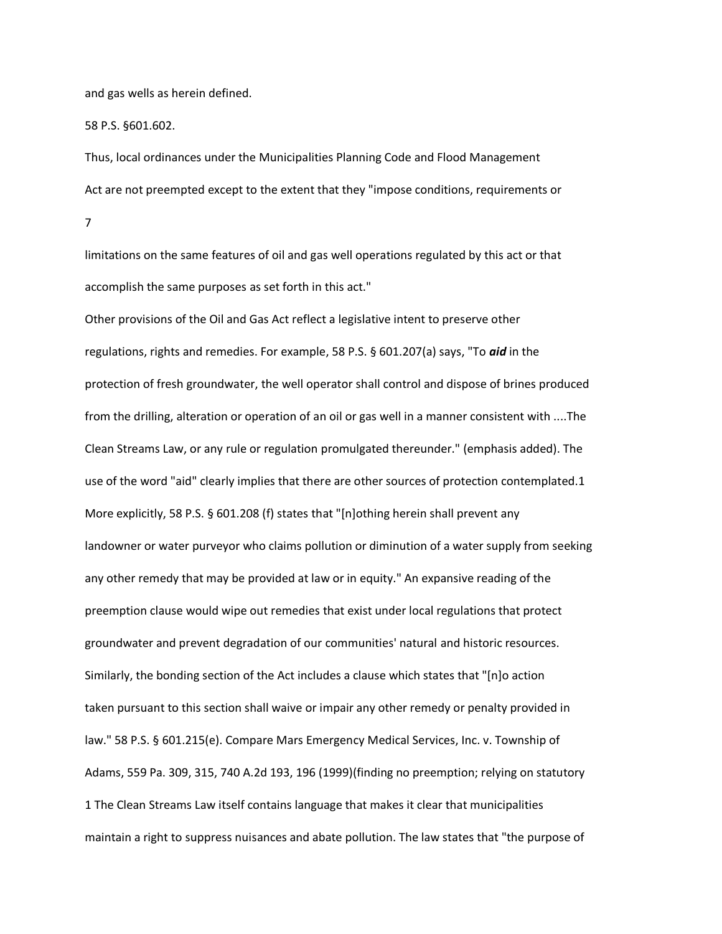and gas wells as herein defined.

58 P.S. §601.602.

Thus, local ordinances under the Municipalities Planning Code and Flood Management Act are not preempted except to the extent that they "impose conditions, requirements or 7

limitations on the same features of oil and gas well operations regulated by this act or that accomplish the same purposes as set forth in this act."

Other provisions of the Oil and Gas Act reflect a legislative intent to preserve other regulations, rights and remedies. For example, 58 P.S. § 601.207(a) says, "To *aid* in the protection of fresh groundwater, the well operator shall control and dispose of brines produced from the drilling, alteration or operation of an oil or gas well in a manner consistent with ....The Clean Streams Law, or any rule or regulation promulgated thereunder." (emphasis added). The use of the word "aid" clearly implies that there are other sources of protection contemplated.1 More explicitly, 58 P.S. § 601.208 (f) states that "[n]othing herein shall prevent any landowner or water purveyor who claims pollution or diminution of a water supply from seeking any other remedy that may be provided at law or in equity." An expansive reading of the preemption clause would wipe out remedies that exist under local regulations that protect groundwater and prevent degradation of our communities' natural and historic resources. Similarly, the bonding section of the Act includes a clause which states that "[n]o action taken pursuant to this section shall waive or impair any other remedy or penalty provided in law." 58 P.S. § 601.215(e). Compare Mars Emergency Medical Services, Inc. v. Township of Adams, 559 Pa. 309, 315, 740 A.2d 193, 196 (1999)(finding no preemption; relying on statutory 1 The Clean Streams Law itself contains language that makes it clear that municipalities maintain a right to suppress nuisances and abate pollution. The law states that "the purpose of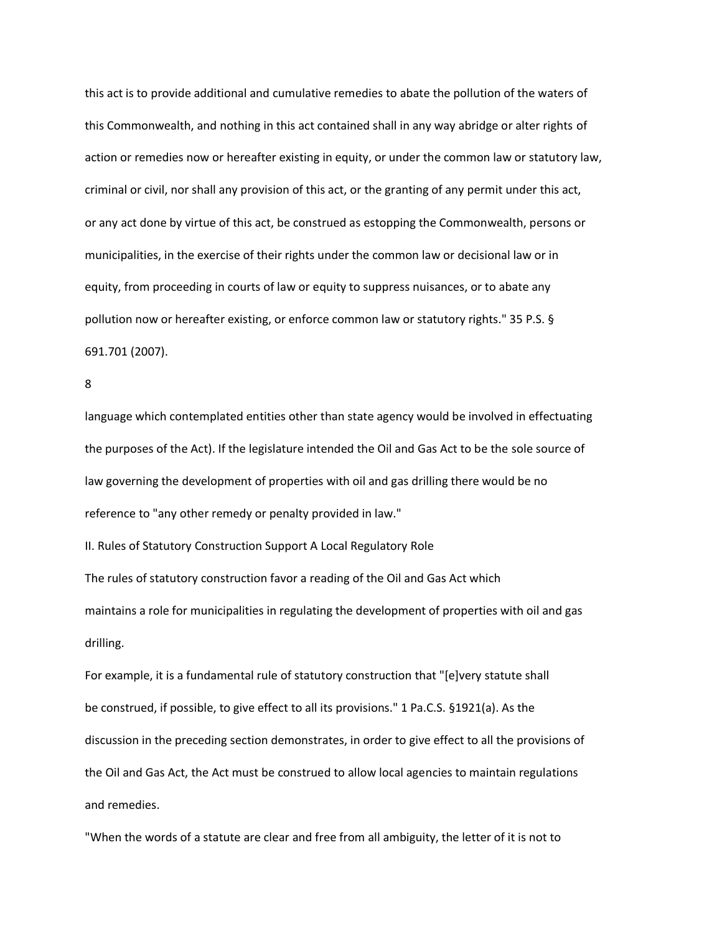this act is to provide additional and cumulative remedies to abate the pollution of the waters of this Commonwealth, and nothing in this act contained shall in any way abridge or alter rights of action or remedies now or hereafter existing in equity, or under the common law or statutory law, criminal or civil, nor shall any provision of this act, or the granting of any permit under this act, or any act done by virtue of this act, be construed as estopping the Commonwealth, persons or municipalities, in the exercise of their rights under the common law or decisional law or in equity, from proceeding in courts of law or equity to suppress nuisances, or to abate any pollution now or hereafter existing, or enforce common law or statutory rights." 35 P.S. § 691.701 (2007).

```
8
```
language which contemplated entities other than state agency would be involved in effectuating the purposes of the Act). If the legislature intended the Oil and Gas Act to be the sole source of law governing the development of properties with oil and gas drilling there would be no reference to "any other remedy or penalty provided in law."

II. Rules of Statutory Construction Support A Local Regulatory Role

The rules of statutory construction favor a reading of the Oil and Gas Act which maintains a role for municipalities in regulating the development of properties with oil and gas drilling.

For example, it is a fundamental rule of statutory construction that "[e]very statute shall be construed, if possible, to give effect to all its provisions." 1 Pa.C.S. §1921(a). As the discussion in the preceding section demonstrates, in order to give effect to all the provisions of the Oil and Gas Act, the Act must be construed to allow local agencies to maintain regulations and remedies.

"When the words of a statute are clear and free from all ambiguity, the letter of it is not to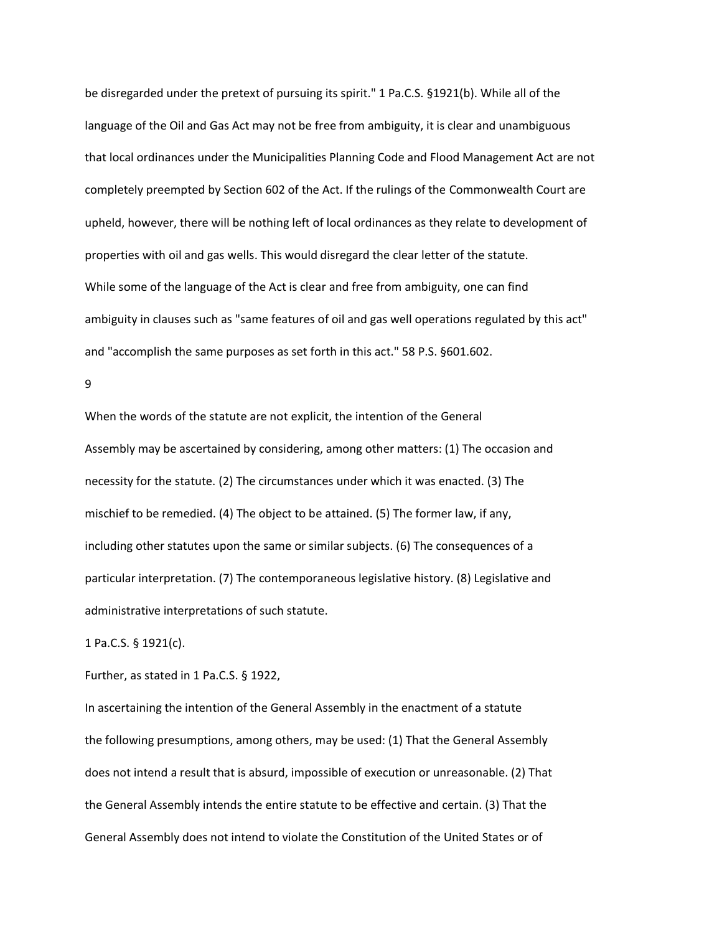be disregarded under the pretext of pursuing its spirit." 1 Pa.C.S. §1921(b). While all of the language of the Oil and Gas Act may not be free from ambiguity, it is clear and unambiguous that local ordinances under the Municipalities Planning Code and Flood Management Act are not completely preempted by Section 602 of the Act. If the rulings of the Commonwealth Court are upheld, however, there will be nothing left of local ordinances as they relate to development of properties with oil and gas wells. This would disregard the clear letter of the statute. While some of the language of the Act is clear and free from ambiguity, one can find ambiguity in clauses such as "same features of oil and gas well operations regulated by this act" and "accomplish the same purposes as set forth in this act." 58 P.S. §601.602.

9

When the words of the statute are not explicit, the intention of the General Assembly may be ascertained by considering, among other matters: (1) The occasion and necessity for the statute. (2) The circumstances under which it was enacted. (3) The mischief to be remedied. (4) The object to be attained. (5) The former law, if any, including other statutes upon the same or similar subjects. (6) The consequences of a particular interpretation. (7) The contemporaneous legislative history. (8) Legislative and administrative interpretations of such statute.

1 Pa.C.S. § 1921(c).

Further, as stated in 1 Pa.C.S. § 1922,

In ascertaining the intention of the General Assembly in the enactment of a statute the following presumptions, among others, may be used: (1) That the General Assembly does not intend a result that is absurd, impossible of execution or unreasonable. (2) That the General Assembly intends the entire statute to be effective and certain. (3) That the General Assembly does not intend to violate the Constitution of the United States or of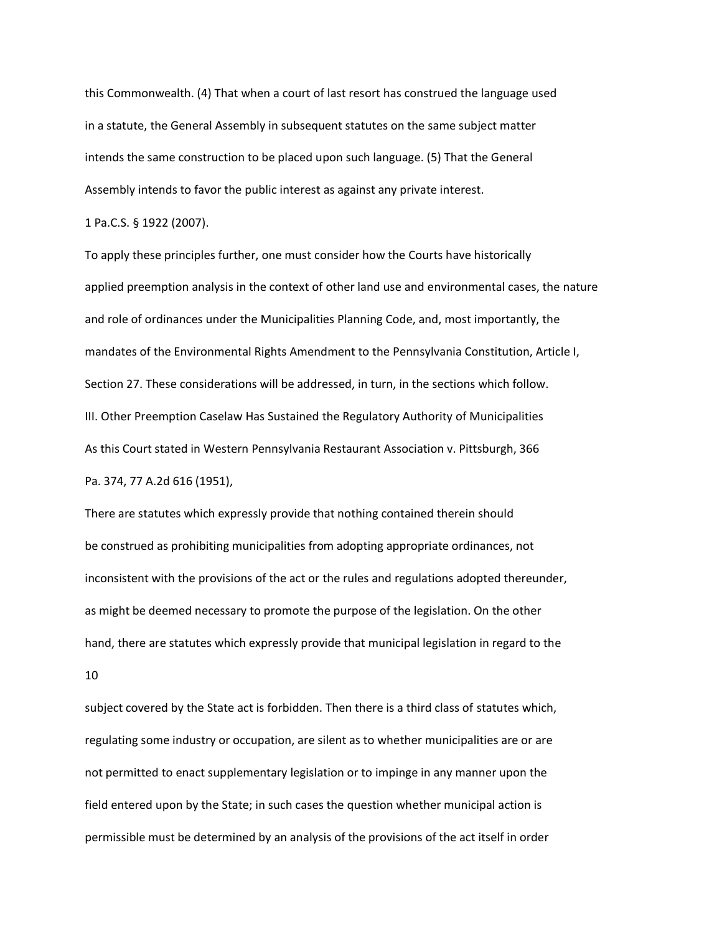this Commonwealth. (4) That when a court of last resort has construed the language used in a statute, the General Assembly in subsequent statutes on the same subject matter intends the same construction to be placed upon such language. (5) That the General Assembly intends to favor the public interest as against any private interest.

1 Pa.C.S. § 1922 (2007).

To apply these principles further, one must consider how the Courts have historically applied preemption analysis in the context of other land use and environmental cases, the nature and role of ordinances under the Municipalities Planning Code, and, most importantly, the mandates of the Environmental Rights Amendment to the Pennsylvania Constitution, Article I, Section 27. These considerations will be addressed, in turn, in the sections which follow. III. Other Preemption Caselaw Has Sustained the Regulatory Authority of Municipalities As this Court stated in Western Pennsylvania Restaurant Association v. Pittsburgh, 366 Pa. 374, 77 A.2d 616 (1951),

There are statutes which expressly provide that nothing contained therein should be construed as prohibiting municipalities from adopting appropriate ordinances, not inconsistent with the provisions of the act or the rules and regulations adopted thereunder, as might be deemed necessary to promote the purpose of the legislation. On the other hand, there are statutes which expressly provide that municipal legislation in regard to the 10

subject covered by the State act is forbidden. Then there is a third class of statutes which, regulating some industry or occupation, are silent as to whether municipalities are or are not permitted to enact supplementary legislation or to impinge in any manner upon the field entered upon by the State; in such cases the question whether municipal action is permissible must be determined by an analysis of the provisions of the act itself in order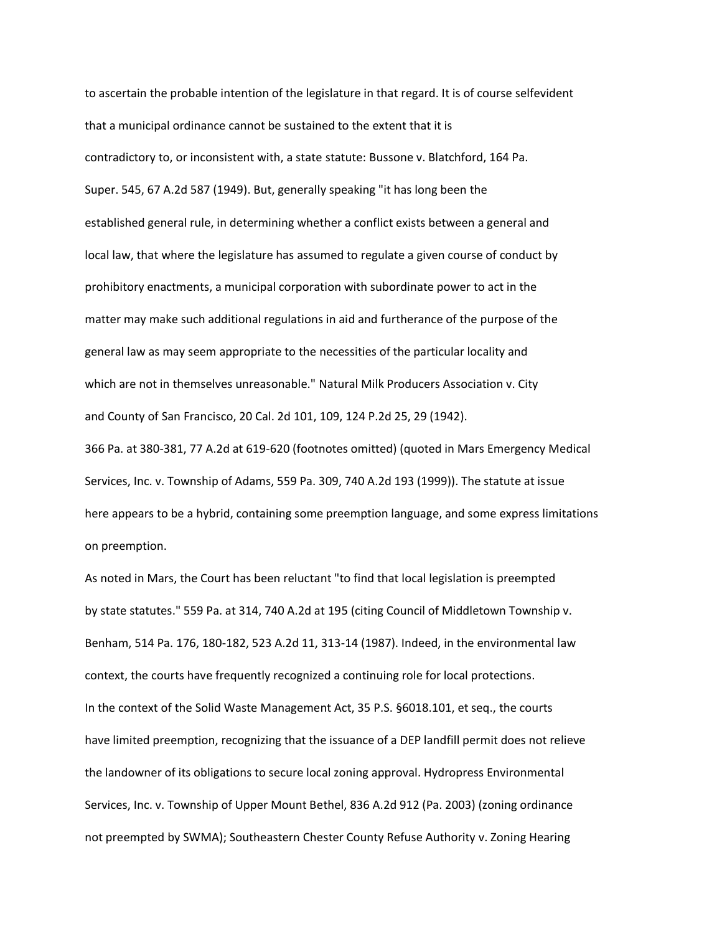to ascertain the probable intention of the legislature in that regard. It is of course selfevident that a municipal ordinance cannot be sustained to the extent that it is contradictory to, or inconsistent with, a state statute: Bussone v. Blatchford, 164 Pa. Super. 545, 67 A.2d 587 (1949). But, generally speaking "it has long been the established general rule, in determining whether a conflict exists between a general and local law, that where the legislature has assumed to regulate a given course of conduct by prohibitory enactments, a municipal corporation with subordinate power to act in the matter may make such additional regulations in aid and furtherance of the purpose of the general law as may seem appropriate to the necessities of the particular locality and which are not in themselves unreasonable." Natural Milk Producers Association v. City and County of San Francisco, 20 Cal. 2d 101, 109, 124 P.2d 25, 29 (1942).

366 Pa. at 380-381, 77 A.2d at 619-620 (footnotes omitted) (quoted in Mars Emergency Medical Services, Inc. v. Township of Adams, 559 Pa. 309, 740 A.2d 193 (1999)). The statute at issue here appears to be a hybrid, containing some preemption language, and some express limitations on preemption.

As noted in Mars, the Court has been reluctant "to find that local legislation is preempted by state statutes." 559 Pa. at 314, 740 A.2d at 195 (citing Council of Middletown Township v. Benham, 514 Pa. 176, 180-182, 523 A.2d 11, 313-14 (1987). Indeed, in the environmental law context, the courts have frequently recognized a continuing role for local protections. In the context of the Solid Waste Management Act, 35 P.S. §6018.101, et seq., the courts have limited preemption, recognizing that the issuance of a DEP landfill permit does not relieve the landowner of its obligations to secure local zoning approval. Hydropress Environmental Services, Inc. v. Township of Upper Mount Bethel, 836 A.2d 912 (Pa. 2003) (zoning ordinance not preempted by SWMA); Southeastern Chester County Refuse Authority v. Zoning Hearing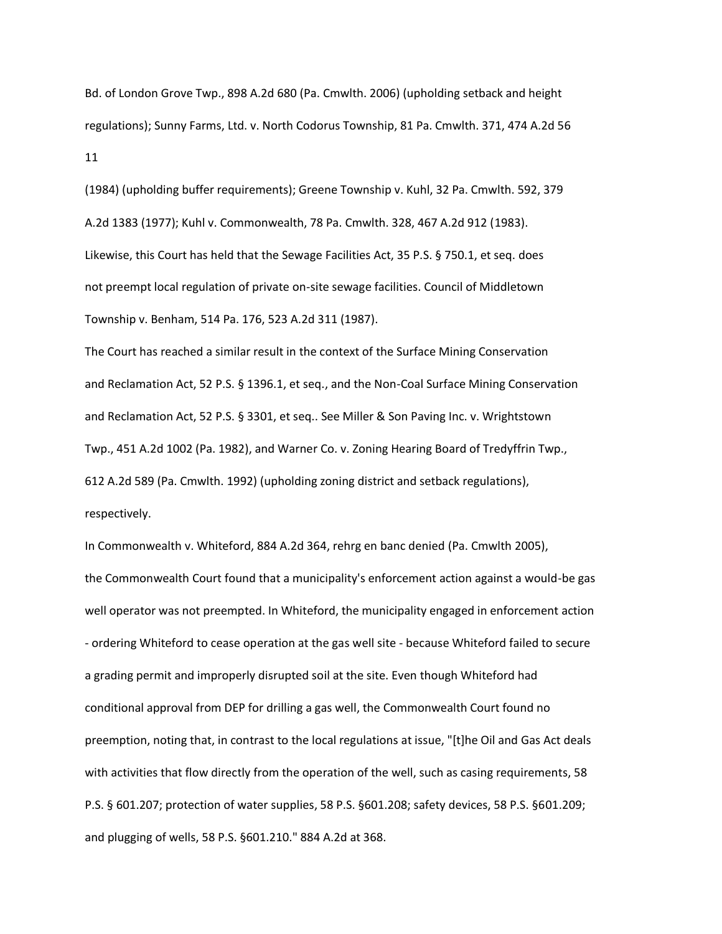Bd. of London Grove Twp., 898 A.2d 680 (Pa. Cmwlth. 2006) (upholding setback and height regulations); Sunny Farms, Ltd. v. North Codorus Township, 81 Pa. Cmwlth. 371, 474 A.2d 56 11

(1984) (upholding buffer requirements); Greene Township v. Kuhl, 32 Pa. Cmwlth. 592, 379 A.2d 1383 (1977); Kuhl v. Commonwealth, 78 Pa. Cmwlth. 328, 467 A.2d 912 (1983). Likewise, this Court has held that the Sewage Facilities Act, 35 P.S. § 750.1, et seq. does not preempt local regulation of private on-site sewage facilities. Council of Middletown Township v. Benham, 514 Pa. 176, 523 A.2d 311 (1987).

The Court has reached a similar result in the context of the Surface Mining Conservation and Reclamation Act, 52 P.S. § 1396.1, et seq., and the Non-Coal Surface Mining Conservation and Reclamation Act, 52 P.S. § 3301, et seq.. See Miller & Son Paving Inc. v. Wrightstown Twp., 451 A.2d 1002 (Pa. 1982), and Warner Co. v. Zoning Hearing Board of Tredyffrin Twp., 612 A.2d 589 (Pa. Cmwlth. 1992) (upholding zoning district and setback regulations), respectively.

In Commonwealth v. Whiteford, 884 A.2d 364, rehrg en banc denied (Pa. Cmwlth 2005), the Commonwealth Court found that a municipality's enforcement action against a would-be gas well operator was not preempted. In Whiteford, the municipality engaged in enforcement action - ordering Whiteford to cease operation at the gas well site - because Whiteford failed to secure a grading permit and improperly disrupted soil at the site. Even though Whiteford had conditional approval from DEP for drilling a gas well, the Commonwealth Court found no preemption, noting that, in contrast to the local regulations at issue, "[t]he Oil and Gas Act deals with activities that flow directly from the operation of the well, such as casing requirements, 58 P.S. § 601.207; protection of water supplies, 58 P.S. §601.208; safety devices, 58 P.S. §601.209; and plugging of wells, 58 P.S. §601.210." 884 A.2d at 368.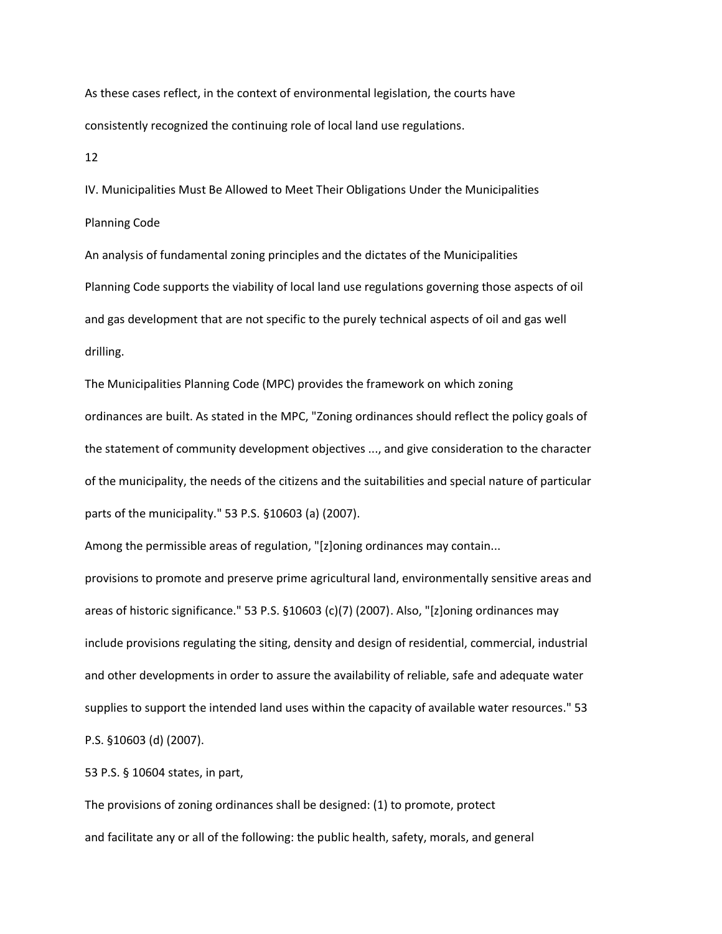As these cases reflect, in the context of environmental legislation, the courts have consistently recognized the continuing role of local land use regulations.

12

IV. Municipalities Must Be Allowed to Meet Their Obligations Under the Municipalities Planning Code

An analysis of fundamental zoning principles and the dictates of the Municipalities Planning Code supports the viability of local land use regulations governing those aspects of oil and gas development that are not specific to the purely technical aspects of oil and gas well drilling.

The Municipalities Planning Code (MPC) provides the framework on which zoning ordinances are built. As stated in the MPC, "Zoning ordinances should reflect the policy goals of the statement of community development objectives ..., and give consideration to the character of the municipality, the needs of the citizens and the suitabilities and special nature of particular parts of the municipality." 53 P.S. §10603 (a) (2007).

Among the permissible areas of regulation, "[z]oning ordinances may contain...

provisions to promote and preserve prime agricultural land, environmentally sensitive areas and areas of historic significance." 53 P.S. §10603 (c)(7) (2007). Also, "[z]oning ordinances may include provisions regulating the siting, density and design of residential, commercial, industrial and other developments in order to assure the availability of reliable, safe and adequate water supplies to support the intended land uses within the capacity of available water resources." 53 P.S. §10603 (d) (2007).

53 P.S. § 10604 states, in part,

The provisions of zoning ordinances shall be designed: (1) to promote, protect and facilitate any or all of the following: the public health, safety, morals, and general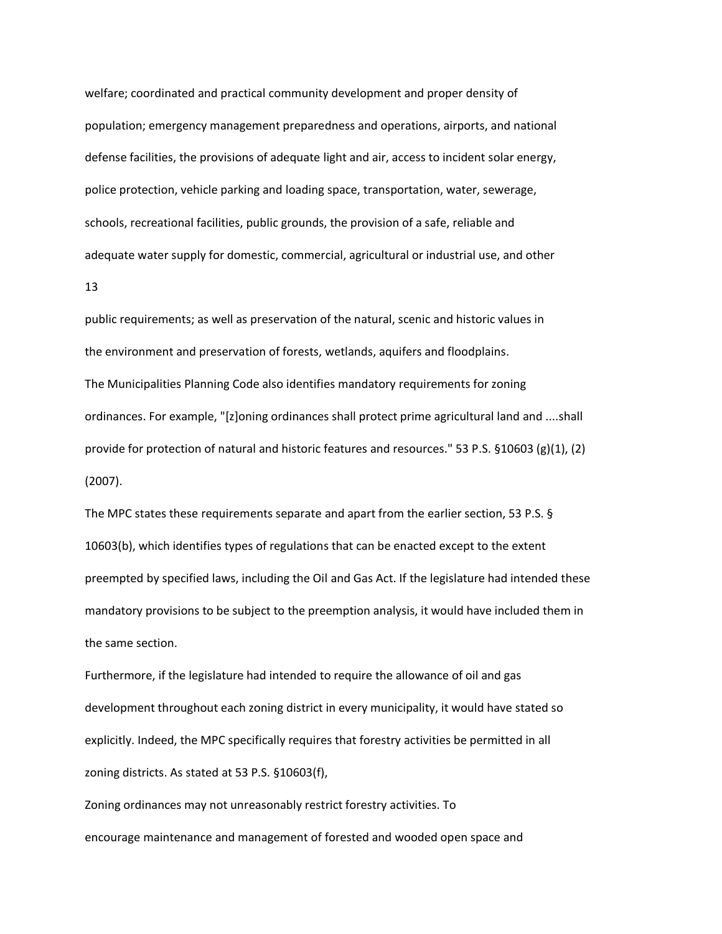welfare; coordinated and practical community development and proper density of population; emergency management preparedness and operations, airports, and national defense facilities, the provisions of adequate light and air, access to incident solar energy, police protection, vehicle parking and loading space, transportation, water, sewerage, schools, recreational facilities, public grounds, the provision of a safe, reliable and adequate water supply for domestic, commercial, agricultural or industrial use, and other

13

public requirements; as well as preservation of the natural, scenic and historic values in the environment and preservation of forests, wetlands, aquifers and floodplains. The Municipalities Planning Code also identifies mandatory requirements for zoning ordinances. For example, "[z]oning ordinances shall protect prime agricultural land and ....shall provide for protection of natural and historic features and resources." 53 P.S. §10603 (g)(1), (2) (2007).

The MPC states these requirements separate and apart from the earlier section, 53 P.S. § 10603(b), which identifies types of regulations that can be enacted except to the extent preempted by specified laws, including the Oil and Gas Act. If the legislature had intended these mandatory provisions to be subject to the preemption analysis, it would have included them in the same section.

Furthermore, if the legislature had intended to require the allowance of oil and gas development throughout each zoning district in every municipality, it would have stated so explicitly. Indeed, the MPC specifically requires that forestry activities be permitted in all zoning districts. As stated at 53 P.S. §10603(f),

Zoning ordinances may not unreasonably restrict forestry activities. To encourage maintenance and management of forested and wooded open space and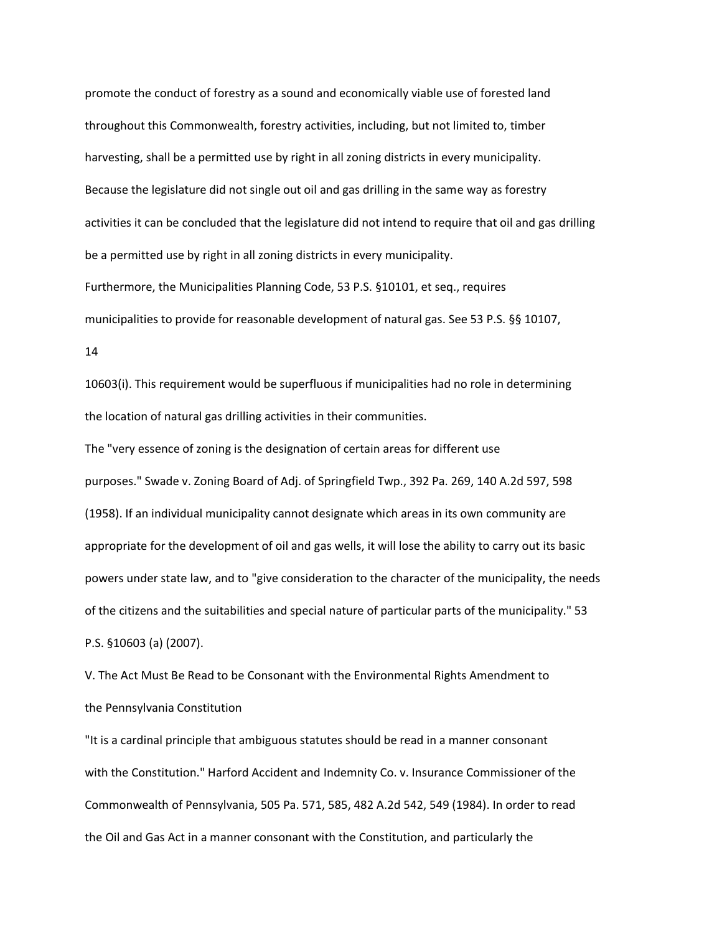promote the conduct of forestry as a sound and economically viable use of forested land throughout this Commonwealth, forestry activities, including, but not limited to, timber harvesting, shall be a permitted use by right in all zoning districts in every municipality. Because the legislature did not single out oil and gas drilling in the same way as forestry activities it can be concluded that the legislature did not intend to require that oil and gas drilling be a permitted use by right in all zoning districts in every municipality. Furthermore, the Municipalities Planning Code, 53 P.S. §10101, et seq., requires

municipalities to provide for reasonable development of natural gas. See 53 P.S. §§ 10107,

14

10603(i). This requirement would be superfluous if municipalities had no role in determining the location of natural gas drilling activities in their communities.

The "very essence of zoning is the designation of certain areas for different use purposes." Swade v. Zoning Board of Adj. of Springfield Twp., 392 Pa. 269, 140 A.2d 597, 598 (1958). If an individual municipality cannot designate which areas in its own community are appropriate for the development of oil and gas wells, it will lose the ability to carry out its basic powers under state law, and to "give consideration to the character of the municipality, the needs of the citizens and the suitabilities and special nature of particular parts of the municipality." 53 P.S. §10603 (a) (2007).

V. The Act Must Be Read to be Consonant with the Environmental Rights Amendment to the Pennsylvania Constitution

"It is a cardinal principle that ambiguous statutes should be read in a manner consonant with the Constitution." Harford Accident and Indemnity Co. v. Insurance Commissioner of the Commonwealth of Pennsylvania, 505 Pa. 571, 585, 482 A.2d 542, 549 (1984). In order to read the Oil and Gas Act in a manner consonant with the Constitution, and particularly the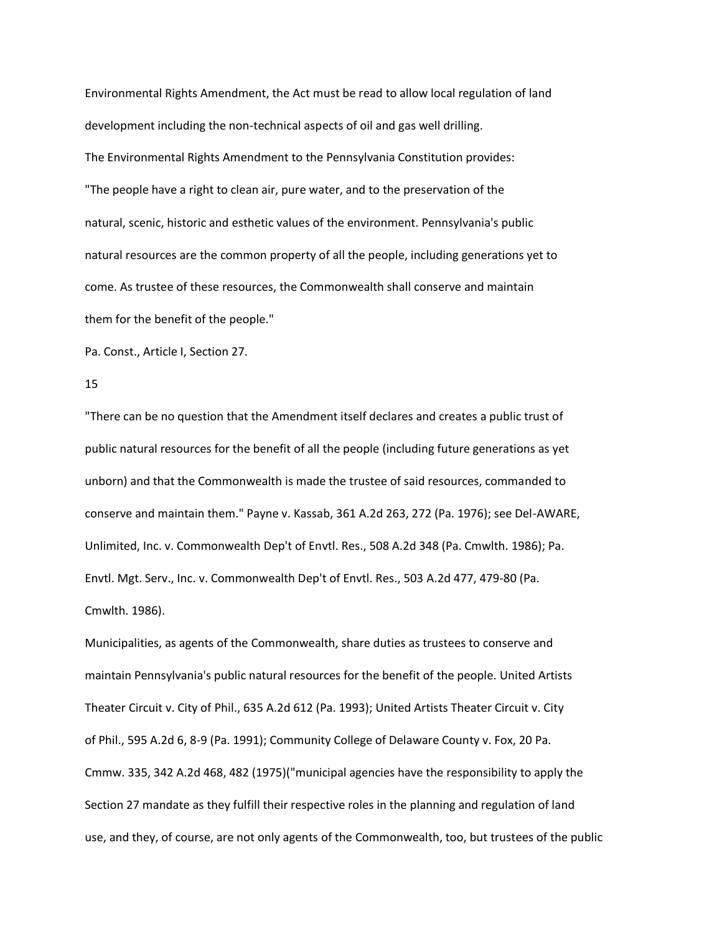Environmental Rights Amendment, the Act must be read to allow local regulation of land development including the non-technical aspects of oil and gas well drilling. The Environmental Rights Amendment to the Pennsylvania Constitution provides: "The people have a right to clean air, pure water, and to the preservation of the natural, scenic, historic and esthetic values of the environment. Pennsylvania's public natural resources are the common property of all the people, including generations yet to come. As trustee of these resources, the Commonwealth shall conserve and maintain them for the benefit of the people."

Pa. Const., Article I, Section 27.

#### 15

"There can be no question that the Amendment itself declares and creates a public trust of public natural resources for the benefit of all the people (including future generations as yet unborn) and that the Commonwealth is made the trustee of said resources, commanded to conserve and maintain them." Payne v. Kassab, 361 A.2d 263, 272 (Pa. 1976); see Del-AWARE, Unlimited, Inc. v. Commonwealth Dep't of Envtl. Res., 508 A.2d 348 (Pa. Cmwlth. 1986); Pa. Envtl. Mgt. Serv., Inc. v. Commonwealth Dep't of Envtl. Res., 503 A.2d 477, 479-80 (Pa. Cmwlth. 1986).

Municipalities, as agents of the Commonwealth, share duties as trustees to conserve and maintain Pennsylvania's public natural resources for the benefit of the people. United Artists Theater Circuit v. City of Phil., 635 A.2d 612 (Pa. 1993); United Artists Theater Circuit v. City of Phil., 595 A.2d 6, 8-9 (Pa. 1991); Community College of Delaware County v. Fox, 20 Pa. Cmmw. 335, 342 A.2d 468, 482 (1975)("municipal agencies have the responsibility to apply the Section 27 mandate as they fulfill their respective roles in the planning and regulation of land use, and they, of course, are not only agents of the Commonwealth, too, but trustees of the public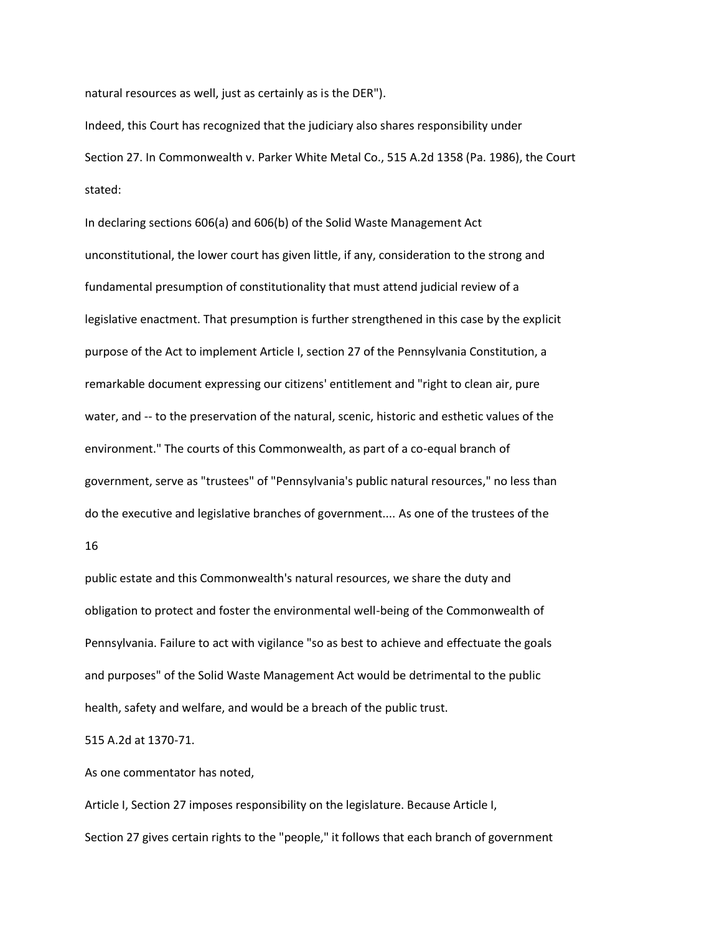natural resources as well, just as certainly as is the DER").

Indeed, this Court has recognized that the judiciary also shares responsibility under Section 27. In Commonwealth v. Parker White Metal Co., 515 A.2d 1358 (Pa. 1986), the Court stated:

In declaring sections 606(a) and 606(b) of the Solid Waste Management Act unconstitutional, the lower court has given little, if any, consideration to the strong and fundamental presumption of constitutionality that must attend judicial review of a legislative enactment. That presumption is further strengthened in this case by the explicit purpose of the Act to implement Article I, section 27 of the Pennsylvania Constitution, a remarkable document expressing our citizens' entitlement and "right to clean air, pure water, and -- to the preservation of the natural, scenic, historic and esthetic values of the environment." The courts of this Commonwealth, as part of a co-equal branch of government, serve as "trustees" of "Pennsylvania's public natural resources," no less than do the executive and legislative branches of government.... As one of the trustees of the

16

public estate and this Commonwealth's natural resources, we share the duty and obligation to protect and foster the environmental well-being of the Commonwealth of Pennsylvania. Failure to act with vigilance "so as best to achieve and effectuate the goals and purposes" of the Solid Waste Management Act would be detrimental to the public health, safety and welfare, and would be a breach of the public trust.

515 A.2d at 1370-71.

As one commentator has noted,

Article I, Section 27 imposes responsibility on the legislature. Because Article I, Section 27 gives certain rights to the "people," it follows that each branch of government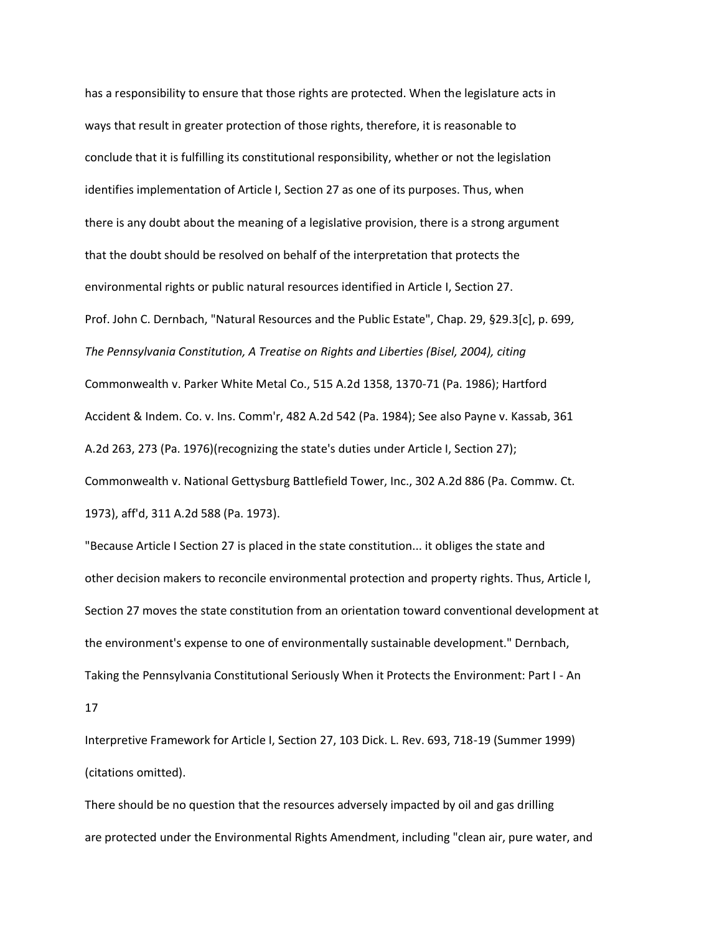has a responsibility to ensure that those rights are protected. When the legislature acts in ways that result in greater protection of those rights, therefore, it is reasonable to conclude that it is fulfilling its constitutional responsibility, whether or not the legislation identifies implementation of Article I, Section 27 as one of its purposes. Thus, when there is any doubt about the meaning of a legislative provision, there is a strong argument that the doubt should be resolved on behalf of the interpretation that protects the environmental rights or public natural resources identified in Article I, Section 27. Prof. John C. Dernbach, "Natural Resources and the Public Estate", Chap. 29, §29.3[c], p. 699*, The Pennsylvania Constitution, A Treatise on Rights and Liberties (Bisel, 2004), citing* Commonwealth v. Parker White Metal Co., 515 A.2d 1358, 1370-71 (Pa. 1986); Hartford Accident & Indem. Co. v. Ins. Comm'r, 482 A.2d 542 (Pa. 1984); See also Payne v. Kassab, 361 A.2d 263, 273 (Pa. 1976)(recognizing the state's duties under Article I, Section 27); Commonwealth v. National Gettysburg Battlefield Tower, Inc., 302 A.2d 886 (Pa. Commw. Ct. 1973), aff'd, 311 A.2d 588 (Pa. 1973).

"Because Article I Section 27 is placed in the state constitution... it obliges the state and other decision makers to reconcile environmental protection and property rights. Thus, Article I, Section 27 moves the state constitution from an orientation toward conventional development at the environment's expense to one of environmentally sustainable development." Dernbach, Taking the Pennsylvania Constitutional Seriously When it Protects the Environment: Part I - An

17

Interpretive Framework for Article I, Section 27, 103 Dick. L. Rev. 693, 718-19 (Summer 1999) (citations omitted).

There should be no question that the resources adversely impacted by oil and gas drilling are protected under the Environmental Rights Amendment, including "clean air, pure water, and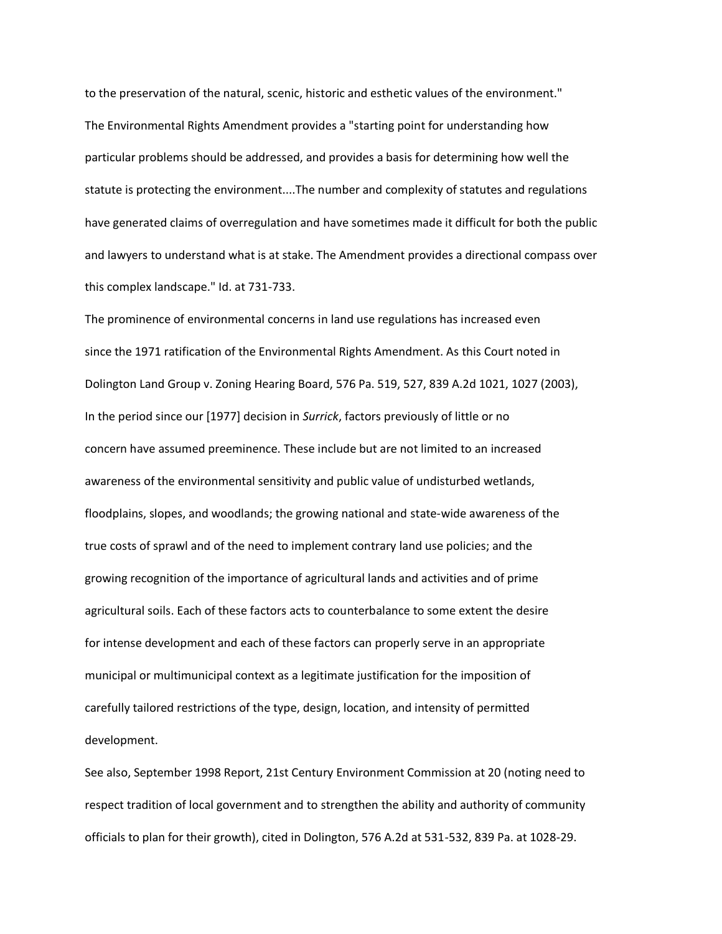to the preservation of the natural, scenic, historic and esthetic values of the environment." The Environmental Rights Amendment provides a "starting point for understanding how particular problems should be addressed, and provides a basis for determining how well the statute is protecting the environment....The number and complexity of statutes and regulations have generated claims of overregulation and have sometimes made it difficult for both the public and lawyers to understand what is at stake. The Amendment provides a directional compass over this complex landscape." Id. at 731-733.

The prominence of environmental concerns in land use regulations has increased even since the 1971 ratification of the Environmental Rights Amendment. As this Court noted in Dolington Land Group v. Zoning Hearing Board, 576 Pa. 519, 527, 839 A.2d 1021, 1027 (2003), In the period since our [1977] decision in *Surrick*, factors previously of little or no concern have assumed preeminence. These include but are not limited to an increased awareness of the environmental sensitivity and public value of undisturbed wetlands, floodplains, slopes, and woodlands; the growing national and state-wide awareness of the true costs of sprawl and of the need to implement contrary land use policies; and the growing recognition of the importance of agricultural lands and activities and of prime agricultural soils. Each of these factors acts to counterbalance to some extent the desire for intense development and each of these factors can properly serve in an appropriate municipal or multimunicipal context as a legitimate justification for the imposition of carefully tailored restrictions of the type, design, location, and intensity of permitted development.

See also, September 1998 Report, 21st Century Environment Commission at 20 (noting need to respect tradition of local government and to strengthen the ability and authority of community officials to plan for their growth), cited in Dolington, 576 A.2d at 531-532, 839 Pa. at 1028-29.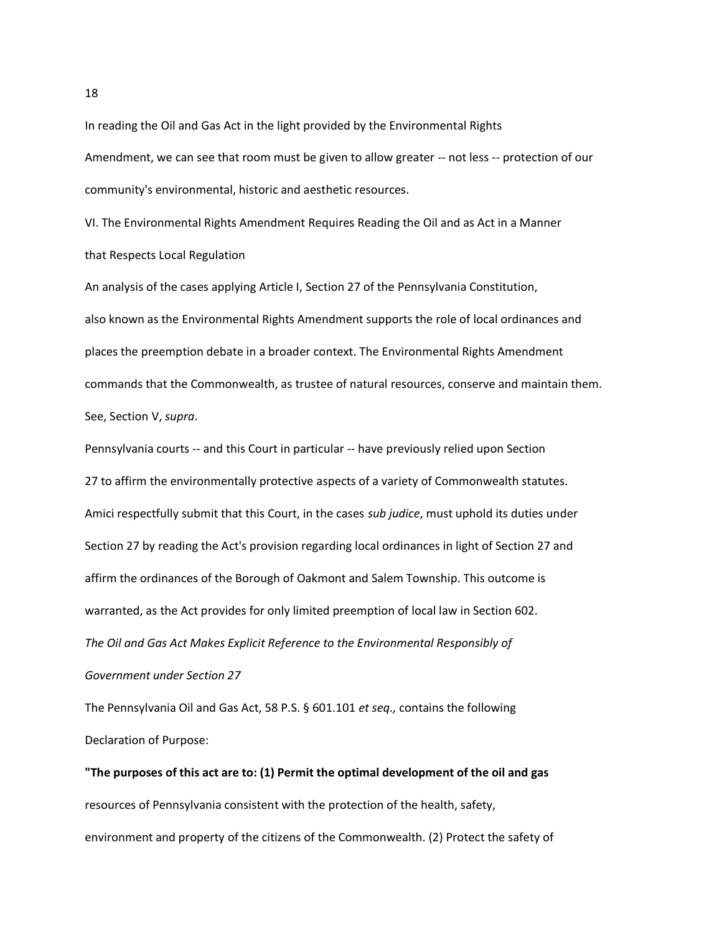In reading the Oil and Gas Act in the light provided by the Environmental Rights Amendment, we can see that room must be given to allow greater -- not less -- protection of our community's environmental, historic and aesthetic resources.

VI. The Environmental Rights Amendment Requires Reading the Oil and as Act in a Manner that Respects Local Regulation

An analysis of the cases applying Article I, Section 27 of the Pennsylvania Constitution, also known as the Environmental Rights Amendment supports the role of local ordinances and places the preemption debate in a broader context. The Environmental Rights Amendment commands that the Commonwealth, as trustee of natural resources, conserve and maintain them. See, Section V, *supra*.

Pennsylvania courts -- and this Court in particular -- have previously relied upon Section 27 to affirm the environmentally protective aspects of a variety of Commonwealth statutes. Amici respectfully submit that this Court, in the cases *sub judice*, must uphold its duties under Section 27 by reading the Act's provision regarding local ordinances in light of Section 27 and affirm the ordinances of the Borough of Oakmont and Salem Township. This outcome is warranted, as the Act provides for only limited preemption of local law in Section 602. *The Oil and Gas Act Makes Explicit Reference to the Environmental Responsibly of Government under Section 27*

The Pennsylvania Oil and Gas Act, 58 P.S. § 601.101 *et seq.,* contains the following Declaration of Purpose:

**"The purposes of this act are to: (1) Permit the optimal development of the oil and gas** resources of Pennsylvania consistent with the protection of the health, safety, environment and property of the citizens of the Commonwealth. (2) Protect the safety of

18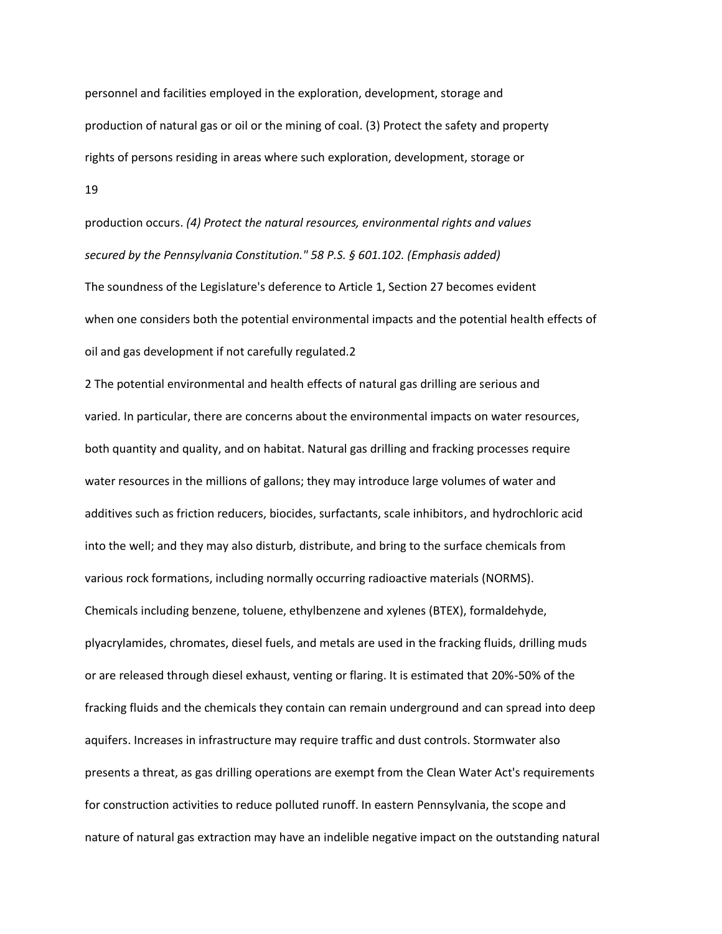personnel and facilities employed in the exploration, development, storage and production of natural gas or oil or the mining of coal. (3) Protect the safety and property rights of persons residing in areas where such exploration, development, storage or 19

production occurs. *(4) Protect the natural resources, environmental rights and values secured by the Pennsylvania Constitution." 58 P.S. § 601.102. (Emphasis added)* The soundness of the Legislature's deference to Article 1, Section 27 becomes evident when one considers both the potential environmental impacts and the potential health effects of oil and gas development if not carefully regulated.2

2 The potential environmental and health effects of natural gas drilling are serious and varied. In particular, there are concerns about the environmental impacts on water resources, both quantity and quality, and on habitat. Natural gas drilling and fracking processes require water resources in the millions of gallons; they may introduce large volumes of water and additives such as friction reducers, biocides, surfactants, scale inhibitors, and hydrochloric acid into the well; and they may also disturb, distribute, and bring to the surface chemicals from various rock formations, including normally occurring radioactive materials (NORMS). Chemicals including benzene, toluene, ethylbenzene and xylenes (BTEX), formaldehyde, plyacrylamides, chromates, diesel fuels, and metals are used in the fracking fluids, drilling muds or are released through diesel exhaust, venting or flaring. It is estimated that 20%-50% of the fracking fluids and the chemicals they contain can remain underground and can spread into deep aquifers. Increases in infrastructure may require traffic and dust controls. Stormwater also presents a threat, as gas drilling operations are exempt from the Clean Water Act's requirements for construction activities to reduce polluted runoff. In eastern Pennsylvania, the scope and nature of natural gas extraction may have an indelible negative impact on the outstanding natural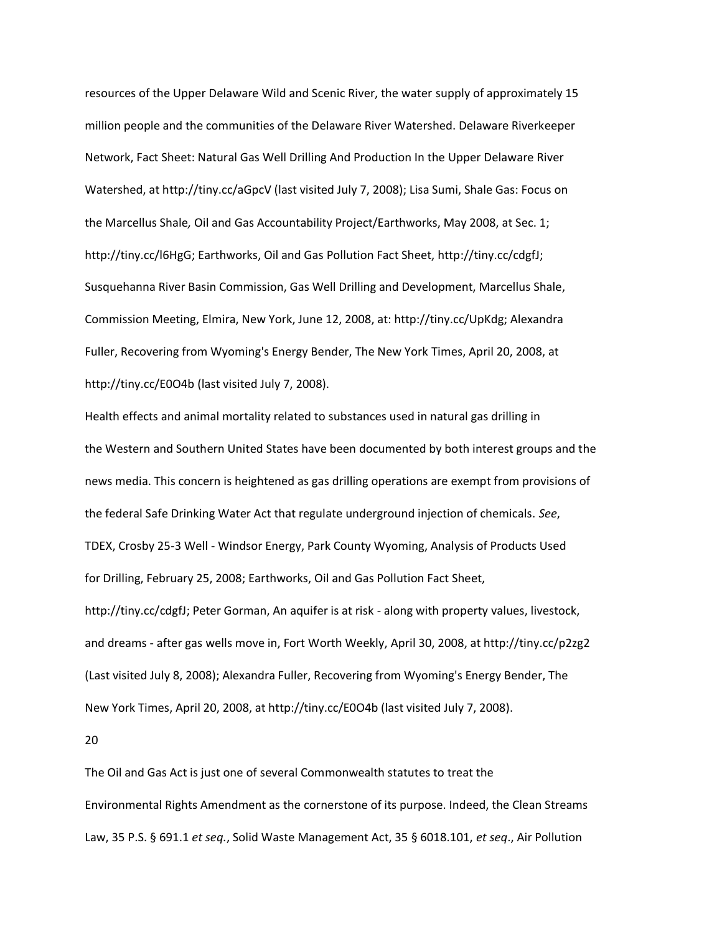resources of the Upper Delaware Wild and Scenic River, the water supply of approximately 15 million people and the communities of the Delaware River Watershed. Delaware Riverkeeper Network, Fact Sheet: Natural Gas Well Drilling And Production In the Upper Delaware River Watershed, at http://tiny.cc/aGpcV (last visited July 7, 2008); Lisa Sumi, Shale Gas: Focus on the Marcellus Shale*,* Oil and Gas Accountability Project/Earthworks, May 2008, at Sec. 1; http://tiny.cc/l6HgG; Earthworks, Oil and Gas Pollution Fact Sheet, http://tiny.cc/cdgfJ; Susquehanna River Basin Commission, Gas Well Drilling and Development, Marcellus Shale, Commission Meeting, Elmira, New York, June 12, 2008, at: http://tiny.cc/UpKdg; Alexandra Fuller, Recovering from Wyoming's Energy Bender, The New York Times, April 20, 2008, at http://tiny.cc/E0O4b (last visited July 7, 2008).

Health effects and animal mortality related to substances used in natural gas drilling in the Western and Southern United States have been documented by both interest groups and the news media. This concern is heightened as gas drilling operations are exempt from provisions of the federal Safe Drinking Water Act that regulate underground injection of chemicals. *See*, TDEX, Crosby 25-3 Well - Windsor Energy, Park County Wyoming, Analysis of Products Used for Drilling, February 25, 2008; Earthworks, Oil and Gas Pollution Fact Sheet, http://tiny.cc/cdgfJ; Peter Gorman, An aquifer is at risk - along with property values, livestock, and dreams - after gas wells move in, Fort Worth Weekly, April 30, 2008, at http://tiny.cc/p2zg2 (Last visited July 8, 2008); Alexandra Fuller, Recovering from Wyoming's Energy Bender, The New York Times, April 20, 2008, at http://tiny.cc/E0O4b (last visited July 7, 2008).

20

The Oil and Gas Act is just one of several Commonwealth statutes to treat the Environmental Rights Amendment as the cornerstone of its purpose. Indeed, the Clean Streams Law, 35 P.S. § 691.1 *et seq.*, Solid Waste Management Act, 35 § 6018.101, *et seq*., Air Pollution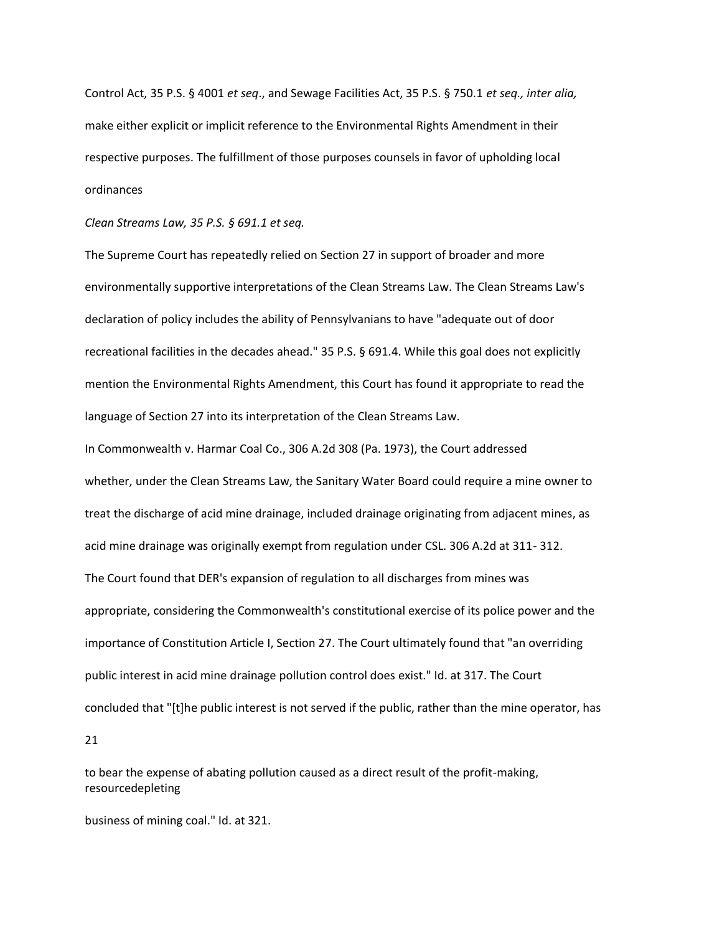Control Act, 35 P.S. § 4001 *et seq*., and Sewage Facilities Act, 35 P.S. § 750.1 *et seq., inter alia,* make either explicit or implicit reference to the Environmental Rights Amendment in their respective purposes. The fulfillment of those purposes counsels in favor of upholding local ordinances

*Clean Streams Law, 35 P.S. § 691.1 et seq.*

The Supreme Court has repeatedly relied on Section 27 in support of broader and more environmentally supportive interpretations of the Clean Streams Law. The Clean Streams Law's declaration of policy includes the ability of Pennsylvanians to have "adequate out of door recreational facilities in the decades ahead." 35 P.S. § 691.4. While this goal does not explicitly mention the Environmental Rights Amendment, this Court has found it appropriate to read the language of Section 27 into its interpretation of the Clean Streams Law.

In Commonwealth v. Harmar Coal Co., 306 A.2d 308 (Pa. 1973), the Court addressed whether, under the Clean Streams Law, the Sanitary Water Board could require a mine owner to treat the discharge of acid mine drainage, included drainage originating from adjacent mines, as acid mine drainage was originally exempt from regulation under CSL. 306 A.2d at 311- 312. The Court found that DER's expansion of regulation to all discharges from mines was appropriate, considering the Commonwealth's constitutional exercise of its police power and the importance of Constitution Article I, Section 27. The Court ultimately found that "an overriding public interest in acid mine drainage pollution control does exist." Id. at 317. The Court concluded that "[t]he public interest is not served if the public, rather than the mine operator, has

21

to bear the expense of abating pollution caused as a direct result of the profit-making, resourcedepleting

business of mining coal." Id. at 321.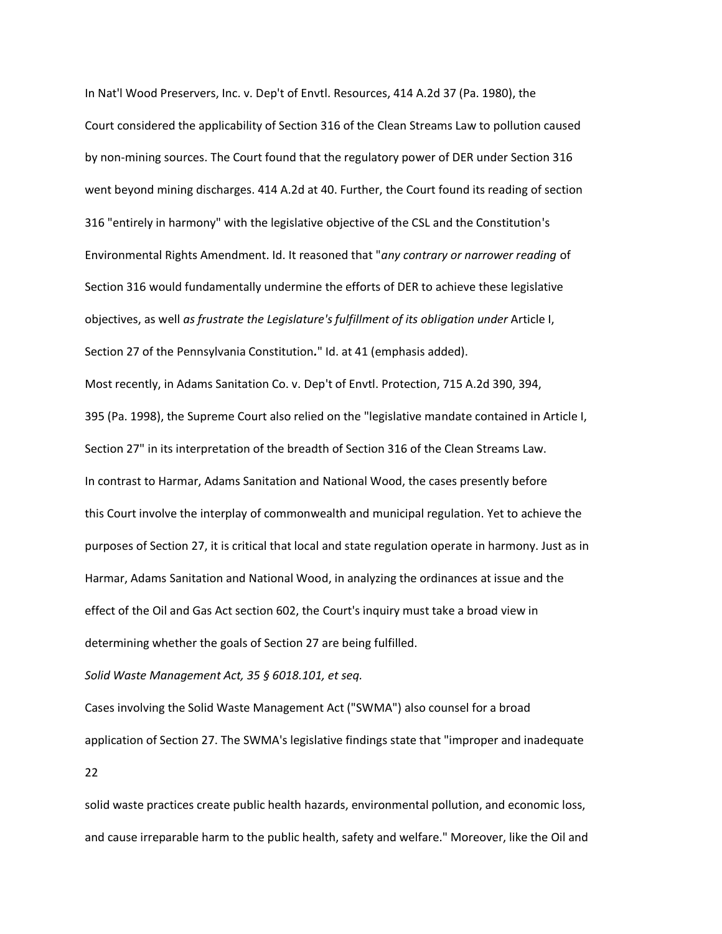In Nat'l Wood Preservers, Inc. v. Dep't of Envtl. Resources, 414 A.2d 37 (Pa. 1980), the Court considered the applicability of Section 316 of the Clean Streams Law to pollution caused by non-mining sources. The Court found that the regulatory power of DER under Section 316 went beyond mining discharges. 414 A.2d at 40. Further, the Court found its reading of section 316 "entirely in harmony" with the legislative objective of the CSL and the Constitution's Environmental Rights Amendment. Id. It reasoned that "*any contrary or narrower reading* of Section 316 would fundamentally undermine the efforts of DER to achieve these legislative objectives, as well *as frustrate the Legislature's fulfillment of its obligation under* Article I, Section 27 of the Pennsylvania Constitution*.*" Id. at 41 (emphasis added). Most recently, in Adams Sanitation Co. v. Dep't of Envtl. Protection, 715 A.2d 390, 394, 395 (Pa. 1998), the Supreme Court also relied on the "legislative mandate contained in Article I, Section 27" in its interpretation of the breadth of Section 316 of the Clean Streams Law. In contrast to Harmar, Adams Sanitation and National Wood, the cases presently before this Court involve the interplay of commonwealth and municipal regulation. Yet to achieve the purposes of Section 27, it is critical that local and state regulation operate in harmony. Just as in Harmar, Adams Sanitation and National Wood, in analyzing the ordinances at issue and the effect of the Oil and Gas Act section 602, the Court's inquiry must take a broad view in determining whether the goals of Section 27 are being fulfilled.

*Solid Waste Management Act, 35 § 6018.101, et seq.*

Cases involving the Solid Waste Management Act ("SWMA") also counsel for a broad application of Section 27. The SWMA's legislative findings state that "improper and inadequate 22

solid waste practices create public health hazards, environmental pollution, and economic loss, and cause irreparable harm to the public health, safety and welfare." Moreover, like the Oil and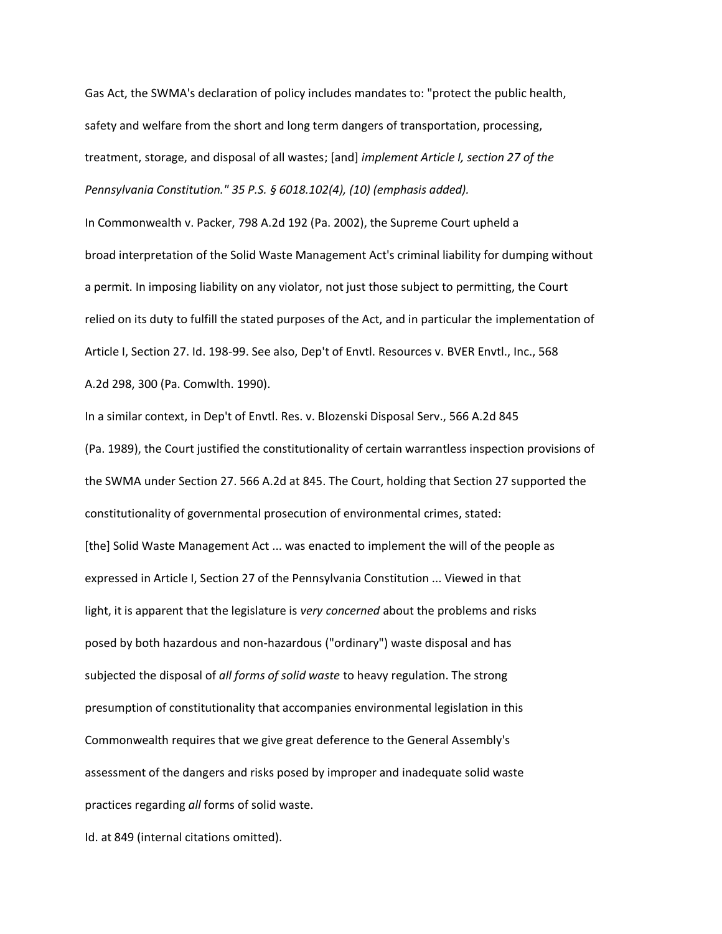Gas Act, the SWMA's declaration of policy includes mandates to: "protect the public health, safety and welfare from the short and long term dangers of transportation, processing, treatment, storage, and disposal of all wastes; [and] *implement Article I, section 27 of the Pennsylvania Constitution." 35 P.S. § 6018.102(4), (10) (emphasis added).*

In Commonwealth v. Packer, 798 A.2d 192 (Pa. 2002), the Supreme Court upheld a broad interpretation of the Solid Waste Management Act's criminal liability for dumping without a permit. In imposing liability on any violator, not just those subject to permitting, the Court relied on its duty to fulfill the stated purposes of the Act, and in particular the implementation of Article I, Section 27. Id. 198-99. See also, Dep't of Envtl. Resources v. BVER Envtl., Inc., 568 A.2d 298, 300 (Pa. Comwlth. 1990).

In a similar context, in Dep't of Envtl. Res. v. Blozenski Disposal Serv., 566 A.2d 845 (Pa. 1989), the Court justified the constitutionality of certain warrantless inspection provisions of the SWMA under Section 27. 566 A.2d at 845. The Court, holding that Section 27 supported the constitutionality of governmental prosecution of environmental crimes, stated: [the] Solid Waste Management Act ... was enacted to implement the will of the people as expressed in Article I, Section 27 of the Pennsylvania Constitution ... Viewed in that light, it is apparent that the legislature is *very concerned* about the problems and risks posed by both hazardous and non-hazardous ("ordinary") waste disposal and has subjected the disposal of *all forms of solid waste* to heavy regulation. The strong presumption of constitutionality that accompanies environmental legislation in this Commonwealth requires that we give great deference to the General Assembly's assessment of the dangers and risks posed by improper and inadequate solid waste practices regarding *all* forms of solid waste.

Id. at 849 (internal citations omitted).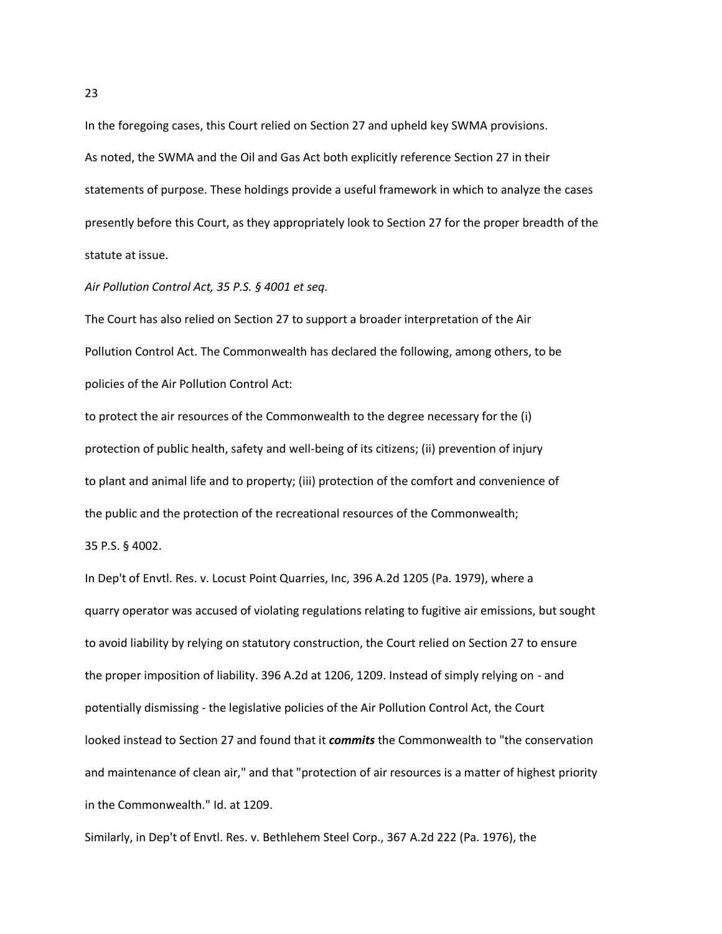In the foregoing cases, this Court relied on Section 27 and upheld key SWMA provisions. As noted, the SWMA and the Oil and Gas Act both explicitly reference Section 27 in their statements of purpose. These holdings provide a useful framework in which to analyze the cases presently before this Court, as they appropriately look to Section 27 for the proper breadth of the statute at issue.

### *Air Pollution Control Act, 35 P.S. § 4001 et seq.*

The Court has also relied on Section 27 to support a broader interpretation of the Air Pollution Control Act. The Commonwealth has declared the following, among others, to be policies of the Air Pollution Control Act:

to protect the air resources of the Commonwealth to the degree necessary for the (i) protection of public health, safety and well-being of its citizens; (ii) prevention of injury to plant and animal life and to property; (iii) protection of the comfort and convenience of the public and the protection of the recreational resources of the Commonwealth; 35 P.S. § 4002.

In Dep't of Envtl. Res. v. Locust Point Quarries, Inc, 396 A.2d 1205 (Pa. 1979), where a quarry operator was accused of violating regulations relating to fugitive air emissions, but sought to avoid liability by relying on statutory construction, the Court relied on Section 27 to ensure the proper imposition of liability. 396 A.2d at 1206, 1209. Instead of simply relying on - and potentially dismissing - the legislative policies of the Air Pollution Control Act, the Court looked instead to Section 27 and found that it *commits* the Commonwealth to "the conservation and maintenance of clean air," and that "protection of air resources is a matter of highest priority in the Commonwealth." Id. at 1209.

Similarly, in Dep't of Envtl. Res. v. Bethlehem Steel Corp., 367 A.2d 222 (Pa. 1976), the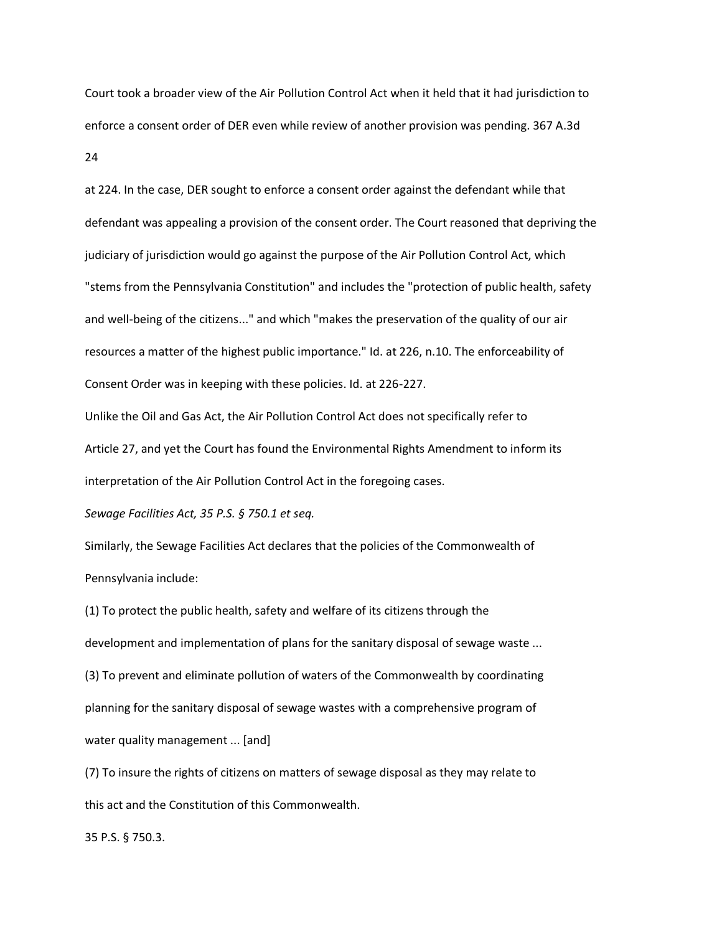Court took a broader view of the Air Pollution Control Act when it held that it had jurisdiction to enforce a consent order of DER even while review of another provision was pending. 367 A.3d 24

at 224. In the case, DER sought to enforce a consent order against the defendant while that defendant was appealing a provision of the consent order. The Court reasoned that depriving the judiciary of jurisdiction would go against the purpose of the Air Pollution Control Act, which "stems from the Pennsylvania Constitution" and includes the "protection of public health, safety and well-being of the citizens..." and which "makes the preservation of the quality of our air resources a matter of the highest public importance." Id. at 226, n.10. The enforceability of Consent Order was in keeping with these policies. Id. at 226-227.

Unlike the Oil and Gas Act, the Air Pollution Control Act does not specifically refer to Article 27, and yet the Court has found the Environmental Rights Amendment to inform its interpretation of the Air Pollution Control Act in the foregoing cases.

*Sewage Facilities Act, 35 P.S. § 750.1 et seq.*

Similarly, the Sewage Facilities Act declares that the policies of the Commonwealth of Pennsylvania include:

(1) To protect the public health, safety and welfare of its citizens through the development and implementation of plans for the sanitary disposal of sewage waste ... (3) To prevent and eliminate pollution of waters of the Commonwealth by coordinating planning for the sanitary disposal of sewage wastes with a comprehensive program of water quality management ... [and]

(7) To insure the rights of citizens on matters of sewage disposal as they may relate to this act and the Constitution of this Commonwealth.

35 P.S. § 750.3.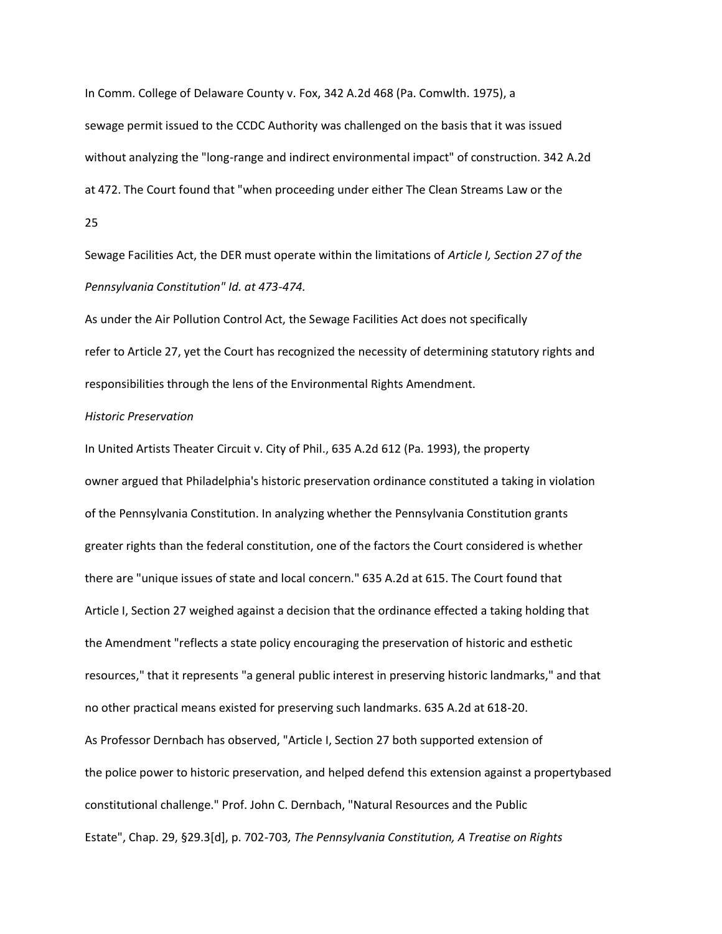In Comm. College of Delaware County v. Fox, 342 A.2d 468 (Pa. Comwlth. 1975), a sewage permit issued to the CCDC Authority was challenged on the basis that it was issued without analyzing the "long-range and indirect environmental impact" of construction. 342 A.2d at 472. The Court found that "when proceeding under either The Clean Streams Law or the 25

Sewage Facilities Act, the DER must operate within the limitations of *Article I, Section 27 of the Pennsylvania Constitution" Id. at 473-474.*

As under the Air Pollution Control Act, the Sewage Facilities Act does not specifically refer to Article 27, yet the Court has recognized the necessity of determining statutory rights and responsibilities through the lens of the Environmental Rights Amendment.

## *Historic Preservation*

In United Artists Theater Circuit v. City of Phil., 635 A.2d 612 (Pa. 1993), the property owner argued that Philadelphia's historic preservation ordinance constituted a taking in violation of the Pennsylvania Constitution. In analyzing whether the Pennsylvania Constitution grants greater rights than the federal constitution, one of the factors the Court considered is whether there are "unique issues of state and local concern." 635 A.2d at 615. The Court found that Article I, Section 27 weighed against a decision that the ordinance effected a taking holding that the Amendment "reflects a state policy encouraging the preservation of historic and esthetic resources," that it represents "a general public interest in preserving historic landmarks," and that no other practical means existed for preserving such landmarks. 635 A.2d at 618-20. As Professor Dernbach has observed, "Article I, Section 27 both supported extension of the police power to historic preservation, and helped defend this extension against a propertybased constitutional challenge." Prof. John C. Dernbach, "Natural Resources and the Public Estate", Chap. 29, §29.3[d], p. 702-703*, The Pennsylvania Constitution, A Treatise on Rights*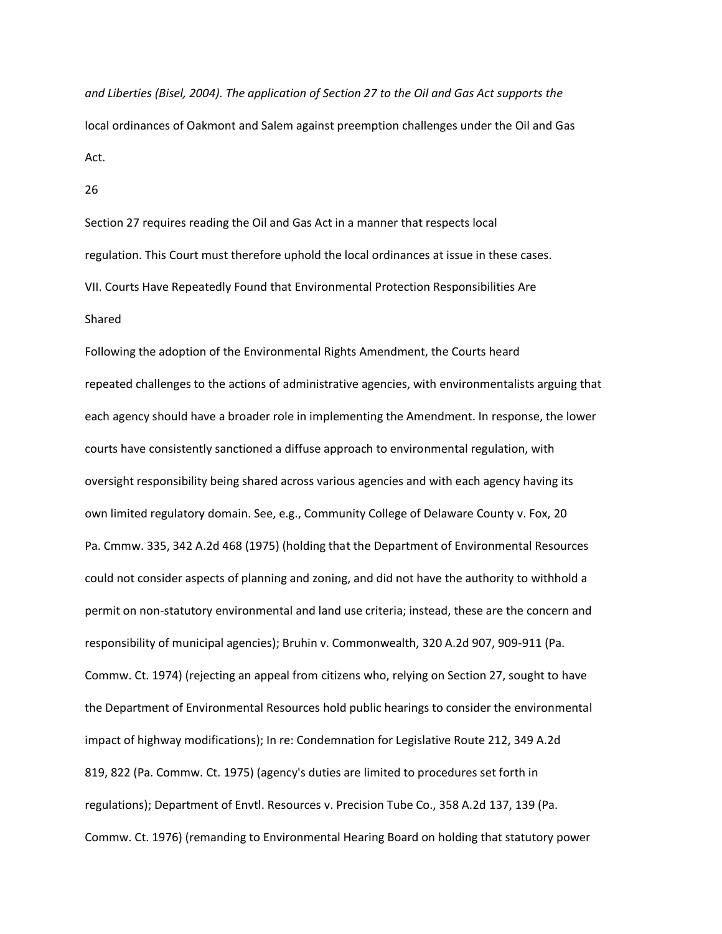*and Liberties (Bisel, 2004). The application of Section 27 to the Oil and Gas Act supports the* local ordinances of Oakmont and Salem against preemption challenges under the Oil and Gas Act.

26

Section 27 requires reading the Oil and Gas Act in a manner that respects local regulation. This Court must therefore uphold the local ordinances at issue in these cases. VII. Courts Have Repeatedly Found that Environmental Protection Responsibilities Are Shared

Following the adoption of the Environmental Rights Amendment, the Courts heard repeated challenges to the actions of administrative agencies, with environmentalists arguing that each agency should have a broader role in implementing the Amendment. In response, the lower courts have consistently sanctioned a diffuse approach to environmental regulation, with oversight responsibility being shared across various agencies and with each agency having its own limited regulatory domain. See, e.g., Community College of Delaware County v. Fox, 20 Pa. Cmmw. 335, 342 A.2d 468 (1975) (holding that the Department of Environmental Resources could not consider aspects of planning and zoning, and did not have the authority to withhold a permit on non-statutory environmental and land use criteria; instead, these are the concern and responsibility of municipal agencies); Bruhin v. Commonwealth, 320 A.2d 907, 909-911 (Pa. Commw. Ct. 1974) (rejecting an appeal from citizens who, relying on Section 27, sought to have the Department of Environmental Resources hold public hearings to consider the environmental impact of highway modifications); In re: Condemnation for Legislative Route 212, 349 A.2d 819, 822 (Pa. Commw. Ct. 1975) (agency's duties are limited to procedures set forth in regulations); Department of Envtl. Resources v. Precision Tube Co., 358 A.2d 137, 139 (Pa. Commw. Ct. 1976) (remanding to Environmental Hearing Board on holding that statutory power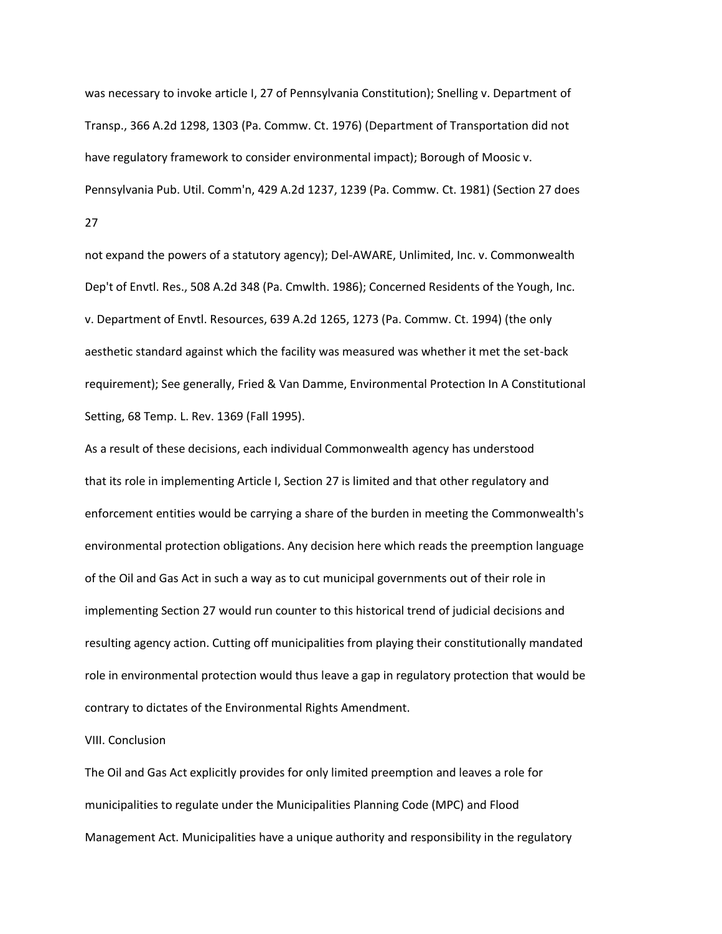was necessary to invoke article I, 27 of Pennsylvania Constitution); Snelling v. Department of Transp., 366 A.2d 1298, 1303 (Pa. Commw. Ct. 1976) (Department of Transportation did not have regulatory framework to consider environmental impact); Borough of Moosic v. Pennsylvania Pub. Util. Comm'n, 429 A.2d 1237, 1239 (Pa. Commw. Ct. 1981) (Section 27 does 27

not expand the powers of a statutory agency); Del-AWARE, Unlimited, Inc. v. Commonwealth Dep't of Envtl. Res., 508 A.2d 348 (Pa. Cmwlth. 1986); Concerned Residents of the Yough, Inc. v. Department of Envtl. Resources, 639 A.2d 1265, 1273 (Pa. Commw. Ct. 1994) (the only aesthetic standard against which the facility was measured was whether it met the set-back requirement); See generally, Fried & Van Damme, Environmental Protection In A Constitutional Setting, 68 Temp. L. Rev. 1369 (Fall 1995).

As a result of these decisions, each individual Commonwealth agency has understood that its role in implementing Article I, Section 27 is limited and that other regulatory and enforcement entities would be carrying a share of the burden in meeting the Commonwealth's environmental protection obligations. Any decision here which reads the preemption language of the Oil and Gas Act in such a way as to cut municipal governments out of their role in implementing Section 27 would run counter to this historical trend of judicial decisions and resulting agency action. Cutting off municipalities from playing their constitutionally mandated role in environmental protection would thus leave a gap in regulatory protection that would be contrary to dictates of the Environmental Rights Amendment.

## VIII. Conclusion

The Oil and Gas Act explicitly provides for only limited preemption and leaves a role for municipalities to regulate under the Municipalities Planning Code (MPC) and Flood Management Act. Municipalities have a unique authority and responsibility in the regulatory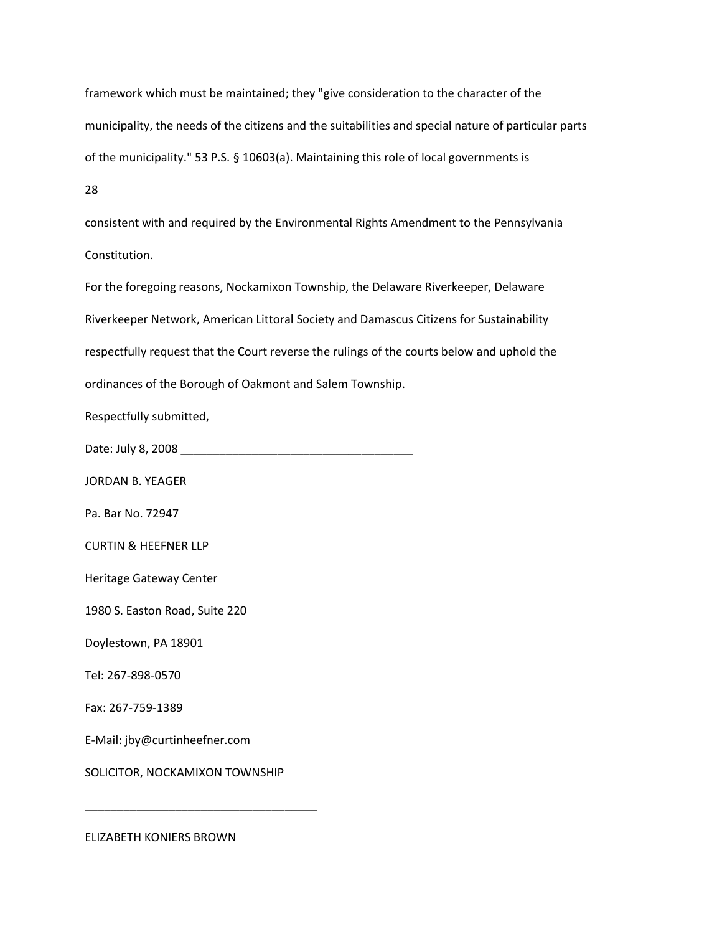framework which must be maintained; they "give consideration to the character of the municipality, the needs of the citizens and the suitabilities and special nature of particular parts of the municipality." 53 P.S. § 10603(a). Maintaining this role of local governments is

28

consistent with and required by the Environmental Rights Amendment to the Pennsylvania Constitution.

For the foregoing reasons, Nockamixon Township, the Delaware Riverkeeper, Delaware Riverkeeper Network, American Littoral Society and Damascus Citizens for Sustainability respectfully request that the Court reverse the rulings of the courts below and uphold the ordinances of the Borough of Oakmont and Salem Township.

Respectfully submitted,

Date: July 8, 2008 \_\_\_\_\_\_\_\_\_\_\_\_\_\_\_\_\_\_\_\_\_\_\_\_\_\_\_\_\_\_\_\_\_\_\_\_

JORDAN B. YEAGER

Pa. Bar No. 72947

CURTIN & HEEFNER LLP

Heritage Gateway Center

1980 S. Easton Road, Suite 220

Doylestown, PA 18901

Tel: 267-898-0570

Fax: 267-759-1389

E-Mail: jby@curtinheefner.com

SOLICITOR, NOCKAMIXON TOWNSHIP

\_\_\_\_\_\_\_\_\_\_\_\_\_\_\_\_\_\_\_\_\_\_\_\_\_\_\_\_\_\_\_\_\_\_\_\_

ELIZABETH KONIERS BROWN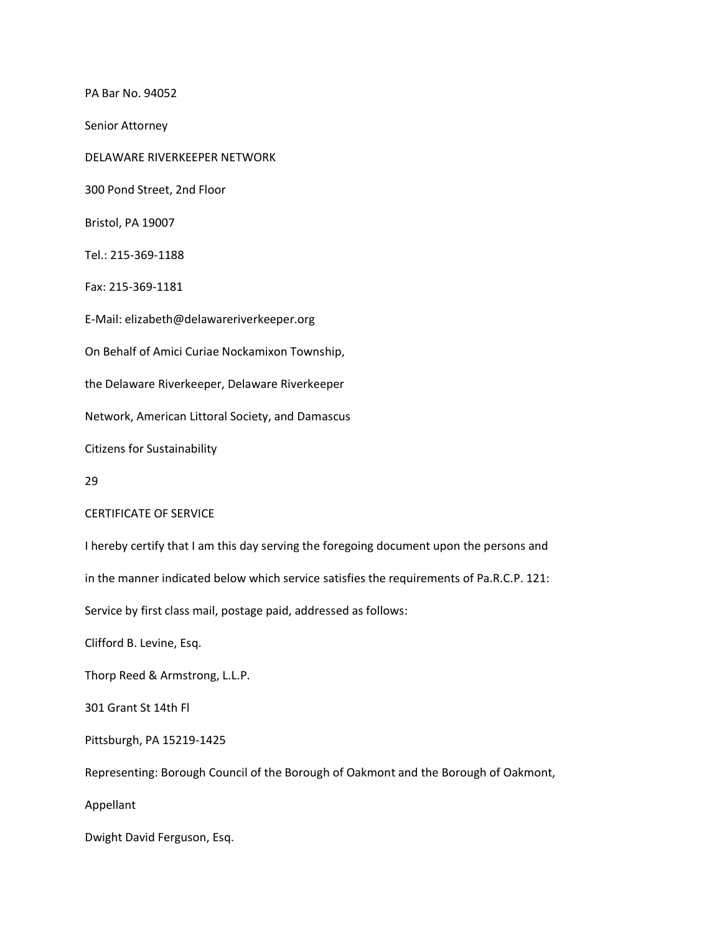PA Bar No. 94052 Senior Attorney DELAWARE RIVERKEEPER NETWORK 300 Pond Street, 2nd Floor Bristol, PA 19007 Tel.: 215-369-1188 Fax: 215-369-1181 E-Mail: elizabeth@delawareriverkeeper.org On Behalf of Amici Curiae Nockamixon Township, the Delaware Riverkeeper, Delaware Riverkeeper Network, American Littoral Society, and Damascus Citizens for Sustainability 29 CERTIFICATE OF SERVICE I hereby certify that I am this day serving the foregoing document upon the persons and in the manner indicated below which service satisfies the requirements of Pa.R.C.P. 121: Service by first class mail, postage paid, addressed as follows: Clifford B. Levine, Esq. Thorp Reed & Armstrong, L.L.P. 301 Grant St 14th Fl Pittsburgh, PA 15219-1425 Representing: Borough Council of the Borough of Oakmont and the Borough of Oakmont, Appellant

Dwight David Ferguson, Esq.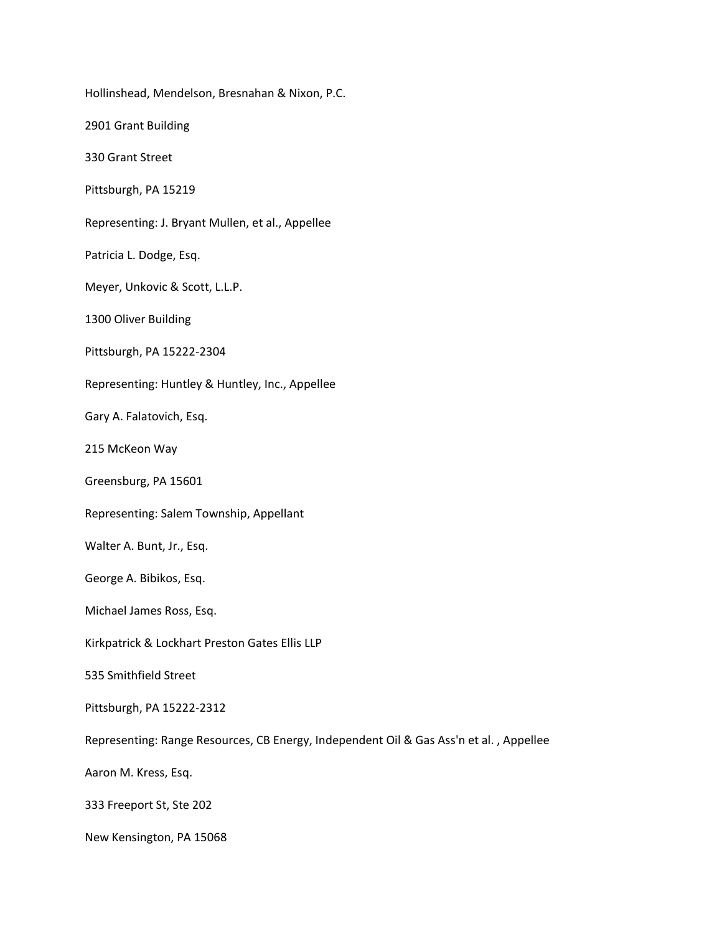Hollinshead, Mendelson, Bresnahan & Nixon, P.C. 2901 Grant Building 330 Grant Street Pittsburgh, PA 15219 Representing: J. Bryant Mullen, et al., Appellee Patricia L. Dodge, Esq. Meyer, Unkovic & Scott, L.L.P. 1300 Oliver Building Pittsburgh, PA 15222-2304 Representing: Huntley & Huntley, Inc., Appellee Gary A. Falatovich, Esq. 215 McKeon Way Greensburg, PA 15601 Representing: Salem Township, Appellant Walter A. Bunt, Jr., Esq. George A. Bibikos, Esq. Michael James Ross, Esq. Kirkpatrick & Lockhart Preston Gates Ellis LLP 535 Smithfield Street Pittsburgh, PA 15222-2312 Representing: Range Resources, CB Energy, Independent Oil & Gas Ass'n et al. , Appellee Aaron M. Kress, Esq. 333 Freeport St, Ste 202 New Kensington, PA 15068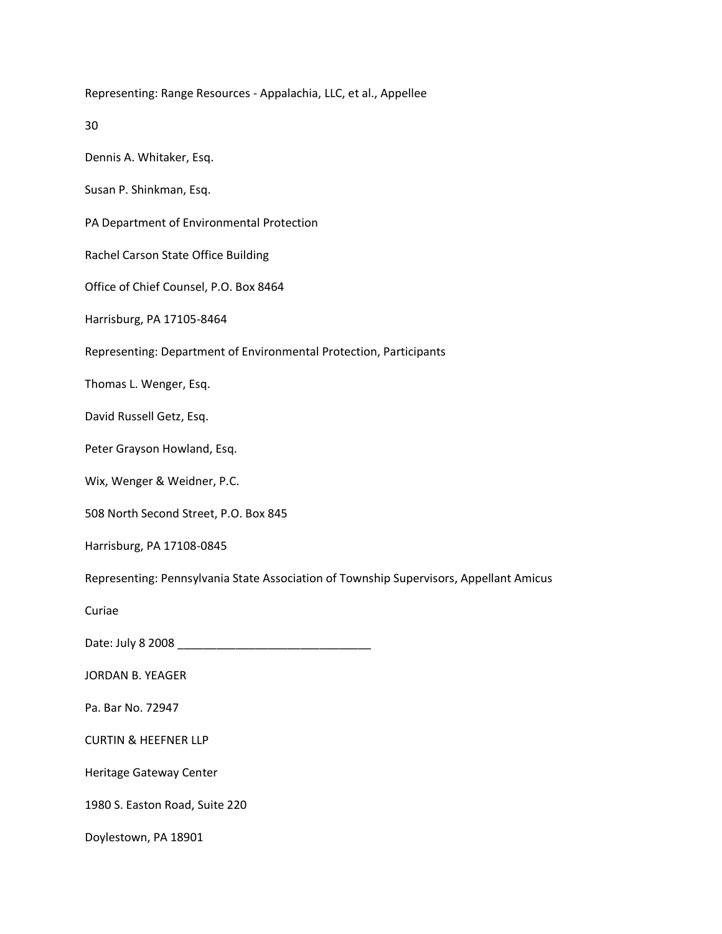Representing: Range Resources - Appalachia, LLC, et al., Appellee 30 Dennis A. Whitaker, Esq. Susan P. Shinkman, Esq. PA Department of Environmental Protection Rachel Carson State Office Building Office of Chief Counsel, P.O. Box 8464 Harrisburg, PA 17105-8464 Representing: Department of Environmental Protection, Participants Thomas L. Wenger, Esq. David Russell Getz, Esq. Peter Grayson Howland, Esq. Wix, Wenger & Weidner, P.C. 508 North Second Street, P.O. Box 845 Harrisburg, PA 17108-0845 Representing: Pennsylvania State Association of Township Supervisors, Appellant Amicus Curiae Date: July 8 2008 \_\_\_\_\_\_\_\_\_\_\_\_\_\_\_\_\_\_\_\_\_\_\_\_\_\_\_\_\_\_ JORDAN B. YEAGER Pa. Bar No. 72947 CURTIN & HEEFNER LLP Heritage Gateway Center 1980 S. Easton Road, Suite 220 Doylestown, PA 18901